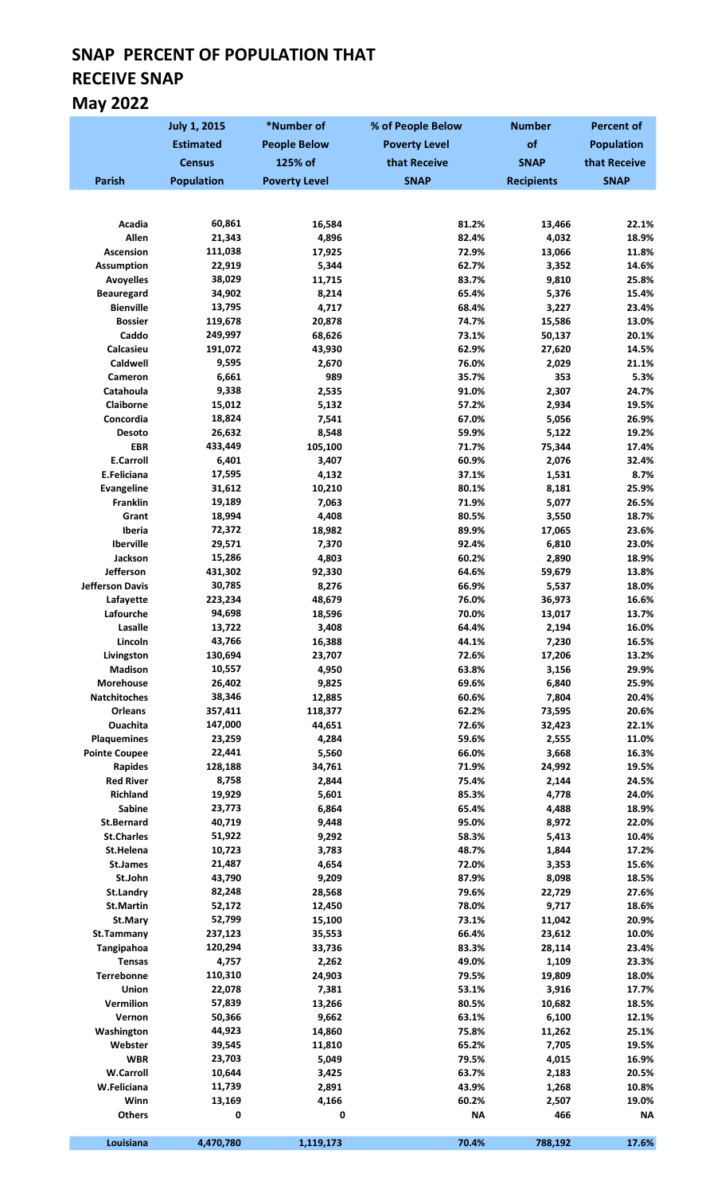# SNAP PERCENT OF POPULATION THAT RECEIVE SNAP May 2022

|                                        | <b>July 1, 2015</b> | *Number of           | % of People Below    | <b>Number</b>     | <b>Percent of</b> |
|----------------------------------------|---------------------|----------------------|----------------------|-------------------|-------------------|
|                                        | <b>Estimated</b>    | <b>People Below</b>  | <b>Poverty Level</b> | of                | <b>Population</b> |
|                                        | <b>Census</b>       | 125% of              | that Receive         | <b>SNAP</b>       | that Receive      |
| <b>Parish</b>                          | <b>Population</b>   | <b>Poverty Level</b> | <b>SNAP</b>          | <b>Recipients</b> | <b>SNAP</b>       |
|                                        |                     |                      |                      |                   |                   |
|                                        |                     |                      |                      |                   |                   |
| Acadia<br>Allen                        | 60,861<br>21,343    | 16,584<br>4,896      | 81.2%<br>82.4%       | 13,466<br>4,032   | 22.1%<br>18.9%    |
| Ascension                              | 111,038             | 17,925               | 72.9%                | 13,066            | 11.8%             |
| <b>Assumption</b>                      | 22,919              | 5,344                | 62.7%                | 3,352             | 14.6%             |
| <b>Avoyelles</b>                       | 38,029              | 11,715               | 83.7%                | 9,810             | 25.8%             |
| <b>Beauregard</b>                      | 34,902              | 8,214                | 65.4%                | 5,376             | 15.4%             |
| <b>Bienville</b>                       | 13,795              | 4,717                | 68.4%                | 3,227             | 23.4%             |
| <b>Bossier</b>                         | 119,678             | 20,878               | 74.7%                | 15,586            | 13.0%             |
| Caddo                                  | 249,997             | 68,626               | 73.1%                | 50,137            | 20.1%<br>14.5%    |
| Calcasieu<br>Caldwell                  | 191,072<br>9,595    | 43,930<br>2,670      | 62.9%<br>76.0%       | 27,620<br>2,029   | 21.1%             |
| Cameron                                | 6,661               | 989                  | 35.7%                | 353               | 5.3%              |
| Catahoula                              | 9,338               | 2,535                | 91.0%                | 2,307             | 24.7%             |
| <b>Claiborne</b>                       | 15,012              | 5,132                | 57.2%                | 2,934             | 19.5%             |
| Concordia                              | 18,824              | 7,541                | 67.0%                | 5,056             | 26.9%             |
| Desoto                                 | 26,632              | 8,548                | 59.9%                | 5,122             | 19.2%             |
| <b>EBR</b>                             | 433,449             | 105,100              | 71.7%                | 75,344            | 17.4%             |
| <b>E.Carroll</b>                       | 6,401               | 3,407                | 60.9%                | 2,076             | 32.4%             |
| E.Feliciana                            | 17,595              | 4,132                | 37.1%                | 1,531             | 8.7%              |
| <b>Evangeline</b><br><b>Franklin</b>   | 31,612<br>19,189    | 10,210<br>7,063      | 80.1%<br>71.9%       | 8,181<br>5,077    | 25.9%<br>26.5%    |
| Grant                                  | 18,994              | 4,408                | 80.5%                | 3,550             | 18.7%             |
| Iberia                                 | 72,372              | 18,982               | 89.9%                | 17,065            | 23.6%             |
| Iberville                              | 29,571              | 7,370                | 92.4%                | 6,810             | 23.0%             |
| Jackson                                | 15,286              | 4,803                | 60.2%                | 2,890             | 18.9%             |
| Jefferson                              | 431,302             | 92,330               | 64.6%                | 59,679            | 13.8%             |
| <b>Jefferson Davis</b>                 | 30,785              | 8,276                | 66.9%                | 5,537             | 18.0%             |
| Lafayette                              | 223,234             | 48,679               | 76.0%                | 36,973            | 16.6%             |
| Lafourche<br>Lasalle                   | 94,698<br>13,722    | 18,596               | 70.0%<br>64.4%       | 13,017            | 13.7%<br>16.0%    |
| Lincoln                                | 43,766              | 3,408<br>16,388      | 44.1%                | 2,194<br>7,230    | 16.5%             |
| Livingston                             | 130,694             | 23,707               | 72.6%                | 17,206            | 13.2%             |
| <b>Madison</b>                         | 10,557              | 4,950                | 63.8%                | 3,156             | 29.9%             |
| <b>Morehouse</b>                       | 26,402              | 9,825                | 69.6%                | 6,840             | 25.9%             |
| Natchitoches                           | 38,346              | 12,885               | 60.6%                | 7,804             | 20.4%             |
| Orleans                                | 357,411             | 118,377              | 62.2%                | 73,595            | 20.6%             |
| Ouachita                               | 147,000             | 44,651               | 72.6%                | 32,423            | 22.1%             |
| <b>Plaquemines</b>                     | 23,259              | 4,284                | 59.6%                | 2,555             | 11.0%             |
| <b>Pointe Coupee</b><br><b>Rapides</b> | 22,441<br>128,188   | 5,560<br>34,761      | 66.0%<br>71.9%       | 3,668<br>24,992   | 16.3%<br>19.5%    |
| <b>Red River</b>                       | 8,758               | 2,844                | 75.4%                | 2,144             | 24.5%             |
| <b>Richland</b>                        | 19,929              | 5,601                | 85.3%                | 4,778             | 24.0%             |
| <b>Sabine</b>                          | 23,773              | 6,864                | 65.4%                | 4,488             | 18.9%             |
| <b>St.Bernard</b>                      | 40,719              | 9,448                | 95.0%                | 8,972             | 22.0%             |
| <b>St.Charles</b>                      | 51,922              | 9,292                | 58.3%                | 5,413             | 10.4%             |
| St.Helena                              | 10,723              | 3,783                | 48.7%                | 1,844             | 17.2%             |
| <b>St.James</b>                        | 21,487              | 4,654                | 72.0%                | 3,353             | 15.6%             |
| St.John                                | 43,790              | 9,209                | 87.9%                | 8,098             | 18.5%             |
| <b>St.Landry</b><br><b>St.Martin</b>   | 82,248<br>52,172    | 28,568<br>12,450     | 79.6%<br>78.0%       | 22,729<br>9,717   | 27.6%<br>18.6%    |
| St.Mary                                | 52,799              | 15,100               | 73.1%                | 11,042            | 20.9%             |
| St.Tammany                             | 237,123             | 35,553               | 66.4%                | 23,612            | 10.0%             |
| Tangipahoa                             | 120,294             | 33,736               | 83.3%                | 28,114            | 23.4%             |
| <b>Tensas</b>                          | 4,757               | 2,262                | 49.0%                | 1,109             | 23.3%             |
| Terrebonne                             | 110,310             | 24,903               | 79.5%                | 19,809            | 18.0%             |
| <b>Union</b>                           | 22,078              | 7,381                | 53.1%                | 3,916             | 17.7%             |
| Vermilion                              | 57,839              | 13,266               | 80.5%                | 10,682            | 18.5%             |
| Vernon                                 | 50,366              | 9,662                | 63.1%                | 6,100             | 12.1%             |
| Washington<br>Webster                  | 44,923<br>39,545    | 14,860<br>11,810     | 75.8%<br>65.2%       | 11,262<br>7,705   | 25.1%<br>19.5%    |
| <b>WBR</b>                             | 23,703              | 5,049                | 79.5%                | 4,015             | 16.9%             |
| <b>W.Carroll</b>                       | 10,644              | 3,425                | 63.7%                | 2,183             | 20.5%             |
| W.Feliciana                            | 11,739              | 2,891                | 43.9%                | 1,268             | 10.8%             |
| Winn                                   | 13,169              | 4,166                | 60.2%                | 2,507             | 19.0%             |
| <b>Others</b>                          | 0                   | 0                    | <b>NA</b>            | 466               | <b>NA</b>         |
|                                        |                     |                      |                      |                   |                   |
| Louisiana                              | 4,470,780           | 1,119,173            | 70.4%                | 788,192           | 17.6%             |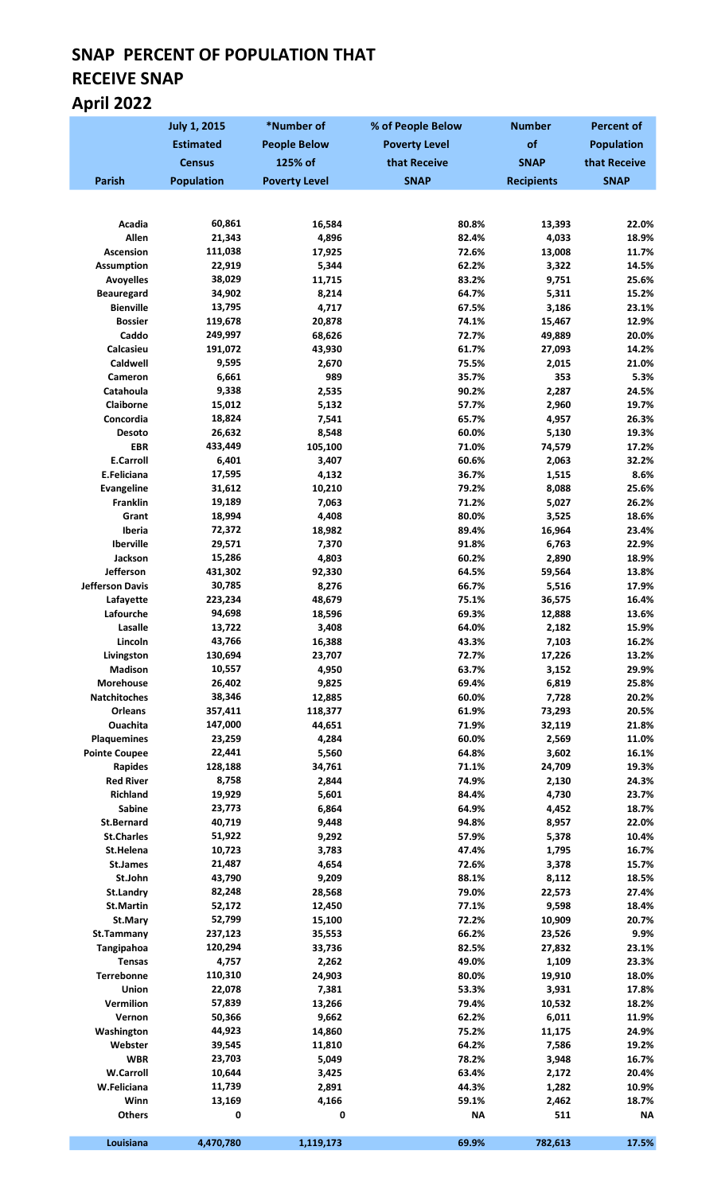# SNAP PERCENT OF POPULATION THAT RECEIVE SNAP April 2022

|                                | <b>July 1, 2015</b> | *Number of           | % of People Below    | <b>Number</b>     | <b>Percent of</b> |
|--------------------------------|---------------------|----------------------|----------------------|-------------------|-------------------|
|                                | <b>Estimated</b>    | <b>People Below</b>  | <b>Poverty Level</b> | of                | <b>Population</b> |
|                                | <b>Census</b>       | 125% of              | that Receive         | <b>SNAP</b>       | that Receive      |
| <b>Parish</b>                  | <b>Population</b>   | <b>Poverty Level</b> | <b>SNAP</b>          | <b>Recipients</b> | <b>SNAP</b>       |
|                                |                     |                      |                      |                   |                   |
|                                |                     |                      |                      |                   |                   |
| Acadia<br>Allen                | 60,861<br>21,343    | 16,584<br>4,896      | 80.8%<br>82.4%       | 13,393<br>4,033   | 22.0%<br>18.9%    |
| Ascension                      | 111,038             | 17,925               | 72.6%                | 13,008            | 11.7%             |
| <b>Assumption</b>              | 22,919              | 5,344                | 62.2%                | 3,322             | 14.5%             |
| <b>Avoyelles</b>               | 38,029              | 11,715               | 83.2%                | 9,751             | 25.6%             |
| <b>Beauregard</b>              | 34,902              | 8,214                | 64.7%                | 5,311             | 15.2%             |
| <b>Bienville</b>               | 13,795              | 4,717                | 67.5%                | 3,186             | 23.1%             |
| <b>Bossier</b>                 | 119,678             | 20,878               | 74.1%                | 15,467            | 12.9%             |
| Caddo                          | 249,997             | 68,626               | 72.7%                | 49,889            | 20.0%             |
| Calcasieu<br>Caldwell          | 191,072<br>9,595    | 43,930               | 61.7%<br>75.5%       | 27,093<br>2,015   | 14.2%<br>21.0%    |
| Cameron                        | 6,661               | 2,670<br>989         | 35.7%                | 353               | 5.3%              |
| Catahoula                      | 9,338               | 2,535                | 90.2%                | 2,287             | 24.5%             |
| Claiborne                      | 15,012              | 5,132                | 57.7%                | 2,960             | 19.7%             |
| Concordia                      | 18,824              | 7,541                | 65.7%                | 4,957             | 26.3%             |
| Desoto                         | 26,632              | 8,548                | 60.0%                | 5,130             | 19.3%             |
| <b>EBR</b>                     | 433,449             | 105,100              | 71.0%                | 74,579            | 17.2%             |
| <b>E.Carroll</b>               | 6,401               | 3,407                | 60.6%                | 2,063             | 32.2%             |
| E.Feliciana                    | 17,595              | 4,132                | 36.7%                | 1,515             | 8.6%              |
| <b>Evangeline</b>              | 31,612              | 10,210               | 79.2%                | 8,088             | 25.6%             |
| <b>Franklin</b>                | 19,189              | 7,063                | 71.2%                | 5,027             | 26.2%             |
| Grant                          | 18,994              | 4,408                | 80.0%                | 3,525             | 18.6%<br>23.4%    |
| Iberia<br>Iberville            | 72,372<br>29,571    | 18,982<br>7,370      | 89.4%<br>91.8%       | 16,964<br>6,763   | 22.9%             |
| Jackson                        | 15,286              | 4,803                | 60.2%                | 2,890             | 18.9%             |
| Jefferson                      | 431,302             | 92,330               | 64.5%                | 59,564            | 13.8%             |
| <b>Jefferson Davis</b>         | 30,785              | 8,276                | 66.7%                | 5,516             | 17.9%             |
| Lafayette                      | 223,234             | 48,679               | 75.1%                | 36,575            | 16.4%             |
| Lafourche                      | 94,698              | 18,596               | 69.3%                | 12,888            | 13.6%             |
| Lasalle                        | 13,722              | 3,408                | 64.0%                | 2,182             | 15.9%             |
| Lincoln                        | 43,766              | 16,388               | 43.3%                | 7,103             | 16.2%             |
| Livingston                     | 130,694             | 23,707               | 72.7%                | 17,226            | 13.2%             |
| Madison<br><b>Morehouse</b>    | 10,557<br>26,402    | 4,950                | 63.7%                | 3,152             | 29.9%             |
| <b>Natchitoches</b>            | 38,346              | 9,825<br>12,885      | 69.4%<br>60.0%       | 6,819<br>7,728    | 25.8%<br>20.2%    |
| <b>Orleans</b>                 | 357,411             | 118,377              | 61.9%                | 73,293            | 20.5%             |
| Ouachita                       | 147,000             | 44,651               | 71.9%                | 32,119            | 21.8%             |
| <b>Plaquemines</b>             | 23,259              | 4,284                | 60.0%                | 2,569             | 11.0%             |
| <b>Pointe Coupee</b>           | 22,441              | 5,560                | 64.8%                | 3,602             | 16.1%             |
| Rapides                        | 128,188             | 34,761               | 71.1%                | 24,709            | 19.3%             |
| <b>Red River</b>               | 8,758               | 2,844                | 74.9%                | 2,130             | 24.3%             |
| <b>Richland</b>                | 19,929              | 5,601                | 84.4%                | 4,730             | 23.7%             |
| <b>Sabine</b>                  | 23,773              | 6,864                | 64.9%                | 4,452             | 18.7%             |
| <b>St.Bernard</b>              | 40,719              | 9,448                | 94.8%                | 8,957             | 22.0%             |
| <b>St.Charles</b><br>St.Helena | 51,922<br>10,723    | 9,292<br>3,783       | 57.9%<br>47.4%       | 5,378<br>1,795    | 10.4%<br>16.7%    |
| St.James                       | 21,487              | 4,654                | 72.6%                | 3,378             | 15.7%             |
| St.John                        | 43,790              | 9,209                | 88.1%                | 8,112             | 18.5%             |
| <b>St.Landry</b>               | 82,248              | 28,568               | 79.0%                | 22,573            | 27.4%             |
| <b>St.Martin</b>               | 52,172              | 12,450               | 77.1%                | 9,598             | 18.4%             |
| St.Mary                        | 52,799              | 15,100               | 72.2%                | 10,909            | 20.7%             |
| St.Tammany                     | 237,123             | 35,553               | 66.2%                | 23,526            | 9.9%              |
| Tangipahoa                     | 120,294             | 33,736               | 82.5%                | 27,832            | 23.1%             |
| <b>Tensas</b>                  | 4,757               | 2,262                | 49.0%                | 1,109             | 23.3%             |
| Terrebonne                     | 110,310             | 24,903               | 80.0%                | 19,910            | 18.0%             |
| Union                          | 22,078              | 7,381                | 53.3%                | 3,931             | 17.8%             |
| Vermilion<br>Vernon            | 57,839<br>50,366    | 13,266<br>9,662      | 79.4%<br>62.2%       | 10,532<br>6,011   | 18.2%<br>11.9%    |
| Washington                     | 44,923              | 14,860               | 75.2%                | 11,175            | 24.9%             |
| Webster                        | 39,545              | 11,810               | 64.2%                | 7,586             | 19.2%             |
| <b>WBR</b>                     | 23,703              | 5,049                | 78.2%                | 3,948             | 16.7%             |
| <b>W.Carroll</b>               | 10,644              | 3,425                | 63.4%                | 2,172             | 20.4%             |
| W.Feliciana                    | 11,739              | 2,891                | 44.3%                | 1,282             | 10.9%             |
| Winn                           | 13,169              | 4,166                | 59.1%                | 2,462             | 18.7%             |
| <b>Others</b>                  | 0                   | 0                    | <b>NA</b>            | 511               | <b>NA</b>         |
| Louisiana                      | 4,470,780           | 1,119,173            | 69.9%                | 782,613           | 17.5%             |
|                                |                     |                      |                      |                   |                   |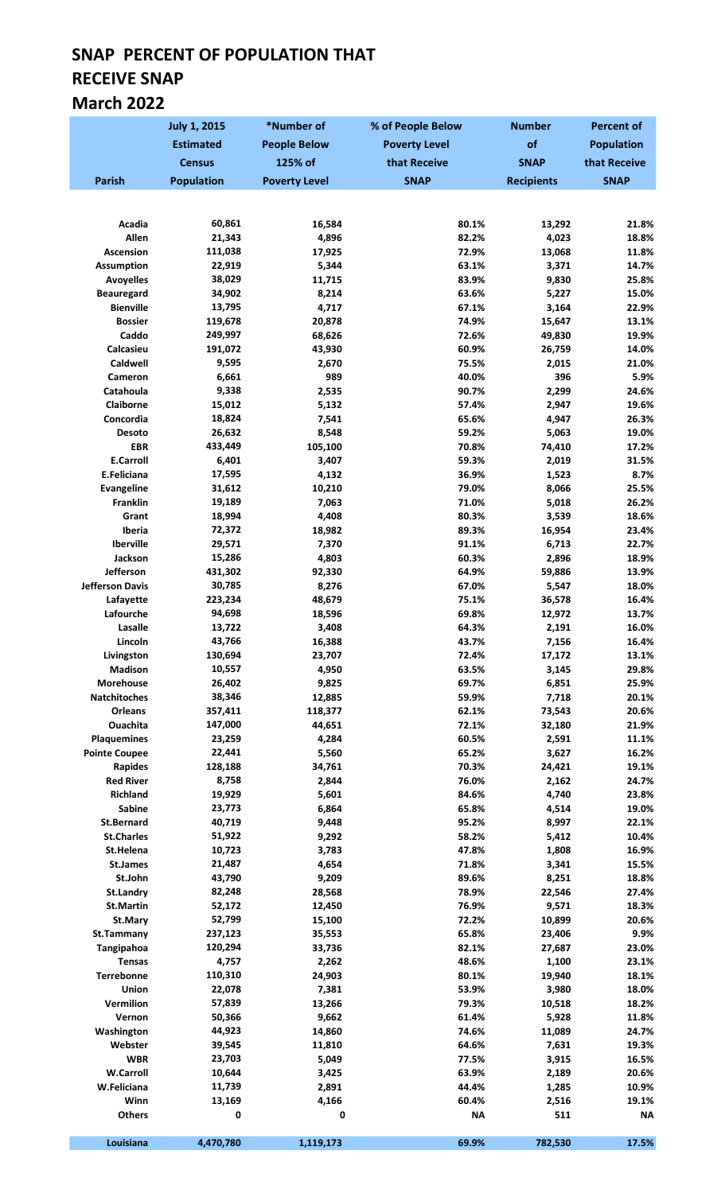## SNAP PERCENT OF POPULATION THAT RECEIVE SNAP March 2022

|                                    | <b>July 1, 2015</b> | *Number of           | % of People Below    | <b>Number</b>     | <b>Percent of</b> |
|------------------------------------|---------------------|----------------------|----------------------|-------------------|-------------------|
|                                    | <b>Estimated</b>    | <b>People Below</b>  | <b>Poverty Level</b> | of                | <b>Population</b> |
|                                    | <b>Census</b>       | 125% of              | that Receive         | <b>SNAP</b>       | that Receive      |
| <b>Parish</b>                      | <b>Population</b>   | <b>Poverty Level</b> | <b>SNAP</b>          | <b>Recipients</b> | <b>SNAP</b>       |
|                                    |                     |                      |                      |                   |                   |
|                                    |                     |                      |                      |                   |                   |
| Acadia<br>Allen                    | 60,861<br>21,343    | 16,584               | 80.1%                | 13,292<br>4,023   | 21.8%<br>18.8%    |
| <b>Ascension</b>                   | 111,038             | 4,896<br>17,925      | 82.2%<br>72.9%       | 13,068            | 11.8%             |
| <b>Assumption</b>                  | 22,919              | 5,344                | 63.1%                | 3,371             | 14.7%             |
| <b>Avoyelles</b>                   | 38,029              | 11,715               | 83.9%                | 9,830             | 25.8%             |
| <b>Beauregard</b>                  | 34,902              | 8,214                | 63.6%                | 5,227             | 15.0%             |
| <b>Bienville</b>                   | 13,795              | 4,717                | 67.1%                | 3,164             | 22.9%             |
| <b>Bossier</b>                     | 119,678             | 20,878               | 74.9%                | 15,647            | 13.1%             |
| Caddo                              | 249,997             | 68,626               | 72.6%                | 49,830            | 19.9%             |
| Calcasieu                          | 191,072             | 43,930               | 60.9%<br>75.5%       | 26,759            | 14.0%             |
| Caldwell<br><b>Cameron</b>         | 9,595<br>6,661      | 2,670<br>989         | 40.0%                | 2,015<br>396      | 21.0%<br>5.9%     |
| Catahoula                          | 9,338               | 2,535                | 90.7%                | 2,299             | 24.6%             |
| Claiborne                          | 15,012              | 5,132                | 57.4%                | 2,947             | 19.6%             |
| Concordia                          | 18,824              | 7,541                | 65.6%                | 4,947             | 26.3%             |
| Desoto                             | 26,632              | 8,548                | 59.2%                | 5,063             | 19.0%             |
| <b>EBR</b>                         | 433,449             | 105,100              | 70.8%                | 74,410            | 17.2%             |
| <b>E.Carroll</b>                   | 6,401               | 3,407                | 59.3%                | 2,019             | 31.5%             |
| E.Feliciana                        | 17,595              | 4,132                | 36.9%                | 1,523             | 8.7%              |
| <b>Evangeline</b>                  | 31,612              | 10,210               | 79.0%                | 8,066             | 25.5%             |
| <b>Franklin</b><br>Grant           | 19,189<br>18,994    | 7,063<br>4,408       | 71.0%<br>80.3%       | 5,018             | 26.2%<br>18.6%    |
| Iberia                             | 72,372              | 18,982               | 89.3%                | 3,539<br>16,954   | 23.4%             |
| Iberville                          | 29,571              | 7,370                | 91.1%                | 6,713             | 22.7%             |
| Jackson                            | 15,286              | 4,803                | 60.3%                | 2,896             | 18.9%             |
| Jefferson                          | 431,302             | 92,330               | 64.9%                | 59,886            | 13.9%             |
| <b>Jefferson Davis</b>             | 30,785              | 8,276                | 67.0%                | 5,547             | 18.0%             |
| Lafayette                          | 223,234             | 48,679               | 75.1%                | 36,578            | 16.4%             |
| Lafourche                          | 94,698              | 18,596               | 69.8%                | 12,972            | 13.7%             |
| Lasalle                            | 13,722              | 3,408                | 64.3%                | 2,191             | 16.0%             |
| Lincoln<br>Livingston              | 43,766<br>130,694   | 16,388<br>23,707     | 43.7%<br>72.4%       | 7,156<br>17,172   | 16.4%<br>13.1%    |
| <b>Madison</b>                     | 10,557              | 4,950                | 63.5%                | 3,145             | 29.8%             |
| Morehouse                          | 26,402              | 9,825                | 69.7%                | 6,851             | 25.9%             |
| Natchitoches                       | 38,346              | 12,885               | 59.9%                | 7,718             | 20.1%             |
| Orleans                            | 357,411             | 118,377              | 62.1%                | 73,543            | 20.6%             |
| <b>Ouachita</b>                    | 147,000             | 44,651               | 72.1%                | 32,180            | 21.9%             |
| <b>Plaquemines</b>                 | 23,259              | 4,284                | 60.5%                | 2,591             | 11.1%             |
| <b>Pointe Coupee</b>               | 22,441              | 5,560                | 65.2%                | 3,627             | 16.2%             |
| <b>Rapides</b><br><b>Red River</b> | 128,188<br>8,758    | 34,761               | 70.3%<br>76.0%       | 24,421            | 19.1%<br>24.7%    |
| <b>Richland</b>                    | 19,929              | 2,844<br>5,601       | 84.6%                | 2,162<br>4,740    | 23.8%             |
| <b>Sabine</b>                      | 23,773              | 6,864                | 65.8%                | 4,514             | 19.0%             |
| <b>St.Bernard</b>                  | 40,719              | 9,448                | 95.2%                | 8,997             | 22.1%             |
| <b>St.Charles</b>                  | 51,922              | 9,292                | 58.2%                | 5,412             | 10.4%             |
| St.Helena                          | 10,723              | 3,783                | 47.8%                | 1,808             | 16.9%             |
| <b>St.James</b>                    | 21,487              | 4,654                | 71.8%                | 3,341             | 15.5%             |
| St.John                            | 43,790              | 9,209                | 89.6%                | 8,251             | 18.8%             |
| St.Landry                          | 82,248              | 28,568               | 78.9%                | 22,546            | 27.4%             |
| <b>St.Martin</b>                   | 52,172<br>52,799    | 12,450               | 76.9%<br>72.2%       | 9,571             | 18.3%             |
| St.Mary<br>St.Tammany              | 237,123             | 15,100<br>35,553     | 65.8%                | 10,899<br>23,406  | 20.6%<br>9.9%     |
| Tangipahoa                         | 120,294             | 33,736               | 82.1%                | 27,687            | 23.0%             |
| <b>Tensas</b>                      | 4,757               | 2,262                | 48.6%                | 1,100             | 23.1%             |
| Terrebonne                         | 110,310             | 24,903               | 80.1%                | 19,940            | 18.1%             |
| Union                              | 22,078              | 7,381                | 53.9%                | 3,980             | 18.0%             |
| Vermilion                          | 57,839              | 13,266               | 79.3%                | 10,518            | 18.2%             |
| Vernon                             | 50,366              | 9,662                | 61.4%                | 5,928             | 11.8%             |
| Washington                         | 44,923              | 14,860               | 74.6%                | 11,089            | 24.7%             |
| Webster<br><b>WBR</b>              | 39,545<br>23,703    | 11,810<br>5,049      | 64.6%<br>77.5%       | 7,631<br>3,915    | 19.3%<br>16.5%    |
| <b>W.Carroll</b>                   | 10,644              | 3,425                | 63.9%                | 2,189             | 20.6%             |
| W.Feliciana                        | 11,739              | 2,891                | 44.4%                | 1,285             | 10.9%             |
| Winn                               | 13,169              | 4,166                | 60.4%                | 2,516             | 19.1%             |
| <b>Others</b>                      | 0                   | 0                    | <b>NA</b>            | 511               | <b>NA</b>         |
|                                    |                     |                      |                      |                   |                   |
| Louisiana                          | 4,470,780           | 1,119,173            | 69.9%                | 782,530           | 17.5%             |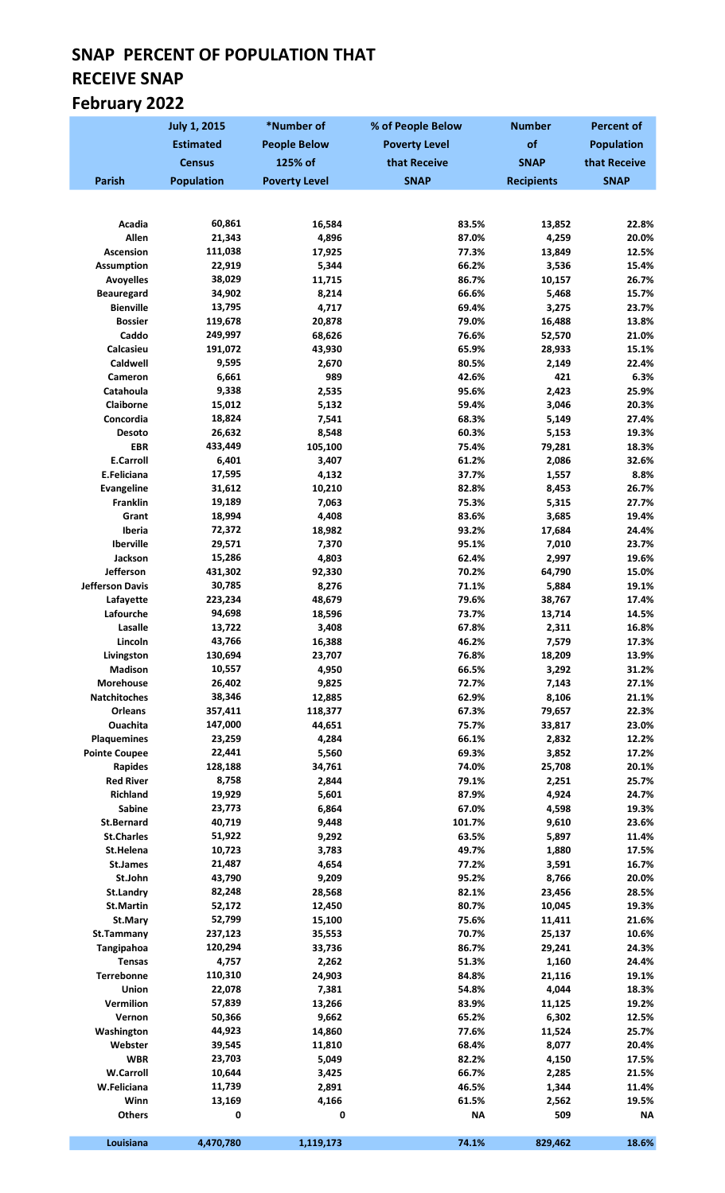# SNAP PERCENT OF POPULATION THAT RECEIVE SNAP February 2022

|                                       | <b>July 1, 2015</b> | *Number of           | % of People Below    | <b>Number</b>     | <b>Percent of</b>  |
|---------------------------------------|---------------------|----------------------|----------------------|-------------------|--------------------|
|                                       | <b>Estimated</b>    | <b>People Below</b>  | <b>Poverty Level</b> | of                | <b>Population</b>  |
|                                       | <b>Census</b>       | 125% of              | that Receive         | <b>SNAP</b>       | that Receive       |
| <b>Parish</b>                         | <b>Population</b>   | <b>Poverty Level</b> | <b>SNAP</b>          | <b>Recipients</b> | <b>SNAP</b>        |
|                                       |                     |                      |                      |                   |                    |
|                                       |                     |                      |                      |                   |                    |
| Acadia<br>Allen                       | 60,861<br>21,343    | 16,584               | 83.5%                | 13,852            | 22.8%              |
| Ascension                             | 111,038             | 4,896<br>17,925      | 87.0%<br>77.3%       | 4,259<br>13,849   | 20.0%<br>12.5%     |
| <b>Assumption</b>                     | 22,919              | 5,344                | 66.2%                | 3,536             | 15.4%              |
| <b>Avoyelles</b>                      | 38,029              | 11,715               | 86.7%                | 10,157            | 26.7%              |
| <b>Beauregard</b>                     | 34,902              | 8,214                | 66.6%                | 5,468             | 15.7%              |
| <b>Bienville</b>                      | 13,795              | 4,717                | 69.4%                | 3,275             | 23.7%              |
| <b>Bossier</b>                        | 119,678             | 20,878               | 79.0%                | 16,488            | 13.8%              |
| Caddo                                 | 249,997             | 68,626               | 76.6%                | 52,570            | 21.0%              |
| Calcasieu<br>Caldwell                 | 191,072<br>9,595    | 43,930<br>2,670      | 65.9%<br>80.5%       | 28,933<br>2,149   | 15.1%<br>22.4%     |
| Cameron                               | 6,661               | 989                  | 42.6%                | 421               | 6.3%               |
| Catahoula                             | 9,338               | 2,535                | 95.6%                | 2,423             | 25.9%              |
| Claiborne                             | 15,012              | 5,132                | 59.4%                | 3,046             | 20.3%              |
| Concordia                             | 18,824              | 7,541                | 68.3%                | 5,149             | 27.4%              |
| Desoto                                | 26,632              | 8,548                | 60.3%                | 5,153             | 19.3%              |
| <b>EBR</b>                            | 433,449             | 105,100              | 75.4%                | 79,281            | 18.3%              |
| <b>E.Carroll</b>                      | 6,401               | 3,407                | 61.2%                | 2,086             | 32.6%              |
| E.Feliciana<br>Evangeline             | 17,595<br>31,612    | 4,132                | 37.7%<br>82.8%       | 1,557             | 8.8%<br>26.7%      |
| <b>Franklin</b>                       | 19,189              | 10,210<br>7,063      | 75.3%                | 8,453<br>5,315    | 27.7%              |
| Grant                                 | 18,994              | 4,408                | 83.6%                | 3,685             | 19.4%              |
| Iberia                                | 72,372              | 18,982               | 93.2%                | 17,684            | 24.4%              |
| Iberville                             | 29,571              | 7,370                | 95.1%                | 7,010             | 23.7%              |
| Jackson                               | 15,286              | 4,803                | 62.4%                | 2,997             | 19.6%              |
| Jefferson                             | 431,302             | 92,330               | 70.2%                | 64,790            | 15.0%              |
| <b>Jefferson Davis</b>                | 30,785              | 8,276                | 71.1%                | 5,884             | 19.1%              |
| Lafayette<br>Lafourche                | 223,234<br>94,698   | 48,679<br>18,596     | 79.6%<br>73.7%       | 38,767<br>13,714  | 17.4%<br>14.5%     |
| Lasalle                               | 13,722              | 3,408                | 67.8%                | 2,311             | 16.8%              |
| Lincoln                               | 43,766              | 16,388               | 46.2%                | 7,579             | 17.3%              |
| Livingston                            | 130,694             | 23,707               | 76.8%                | 18,209            | 13.9%              |
| <b>Madison</b>                        | 10,557              | 4,950                | 66.5%                | 3,292             | 31.2%              |
| <b>Morehouse</b>                      | 26,402              | 9,825                | 72.7%                | 7,143             | 27.1%              |
| Natchitoches                          | 38,346              | 12,885               | 62.9%                | 8,106             | 21.1%              |
| Orleans                               | 357,411             | 118,377              | 67.3%                | 79,657            | 22.3%              |
| <b>Ouachita</b><br><b>Plaquemines</b> | 147,000<br>23,259   | 44,651<br>4,284      | 75.7%<br>66.1%       | 33,817<br>2,832   | 23.0%<br>12.2%     |
| <b>Pointe Coupee</b>                  | 22,441              | 5,560                | 69.3%                | 3,852             | 17.2%              |
| <b>Rapides</b>                        | 128,188             | 34,761               | 74.0%                | 25,708            | 20.1%              |
| <b>Red River</b>                      | 8,758               | 2,844                | 79.1%                | 2,251             | 25.7%              |
| <b>Richland</b>                       | 19,929              | 5,601                | 87.9%                | 4,924             | 24.7%              |
| <b>Sabine</b>                         | 23,773              | 6,864                | 67.0%                | 4,598             | 19.3%              |
| <b>St.Bernard</b>                     | 40,719              | 9,448                | 101.7%               | 9,610             | 23.6%              |
| <b>St.Charles</b>                     | 51,922              | 9,292                | 63.5%                | 5,897             | 11.4%              |
| St.Helena<br>St.James                 | 10,723<br>21,487    | 3,783<br>4,654       | 49.7%<br>77.2%       | 1,880<br>3,591    | 17.5%<br>16.7%     |
| St.John                               | 43,790              | 9,209                | 95.2%                | 8,766             | 20.0%              |
| St.Landry                             | 82,248              | 28,568               | 82.1%                | 23,456            | 28.5%              |
| <b>St.Martin</b>                      | 52,172              | 12,450               | 80.7%                | 10,045            | 19.3%              |
| St.Mary                               | 52,799              | 15,100               | 75.6%                | 11,411            | 21.6%              |
| St.Tammany                            | 237,123             | 35,553               | 70.7%                | 25,137            | 10.6%              |
| Tangipahoa                            | 120,294             | 33,736               | 86.7%                | 29,241            | 24.3%              |
| <b>Tensas</b>                         | 4,757               | 2,262                | 51.3%                | 1,160             | 24.4%              |
| Terrebonne<br>Union                   | 110,310<br>22,078   | 24,903<br>7,381      | 84.8%<br>54.8%       | 21,116<br>4,044   | 19.1%<br>18.3%     |
| Vermilion                             | 57,839              | 13,266               | 83.9%                | 11,125            | 19.2%              |
| Vernon                                | 50,366              | 9,662                | 65.2%                | 6,302             | 12.5%              |
| Washington                            | 44,923              | 14,860               | 77.6%                | 11,524            | 25.7%              |
| Webster                               | 39,545              | 11,810               | 68.4%                | 8,077             | 20.4%              |
| <b>WBR</b>                            | 23,703              | 5,049                | 82.2%                | 4,150             | 17.5%              |
| <b>W.Carroll</b>                      | 10,644              | 3,425                | 66.7%                | 2,285             | 21.5%              |
| W.Feliciana                           | 11,739              | 2,891                | 46.5%                | 1,344             | 11.4%              |
| Winn<br><b>Others</b>                 | 13,169<br>0         | 4,166<br>0           | 61.5%<br><b>NA</b>   | 2,562<br>509      | 19.5%<br><b>NA</b> |
|                                       |                     |                      |                      |                   |                    |
| Louisiana                             | 4,470,780           | 1,119,173            | 74.1%                | 829,462           | 18.6%              |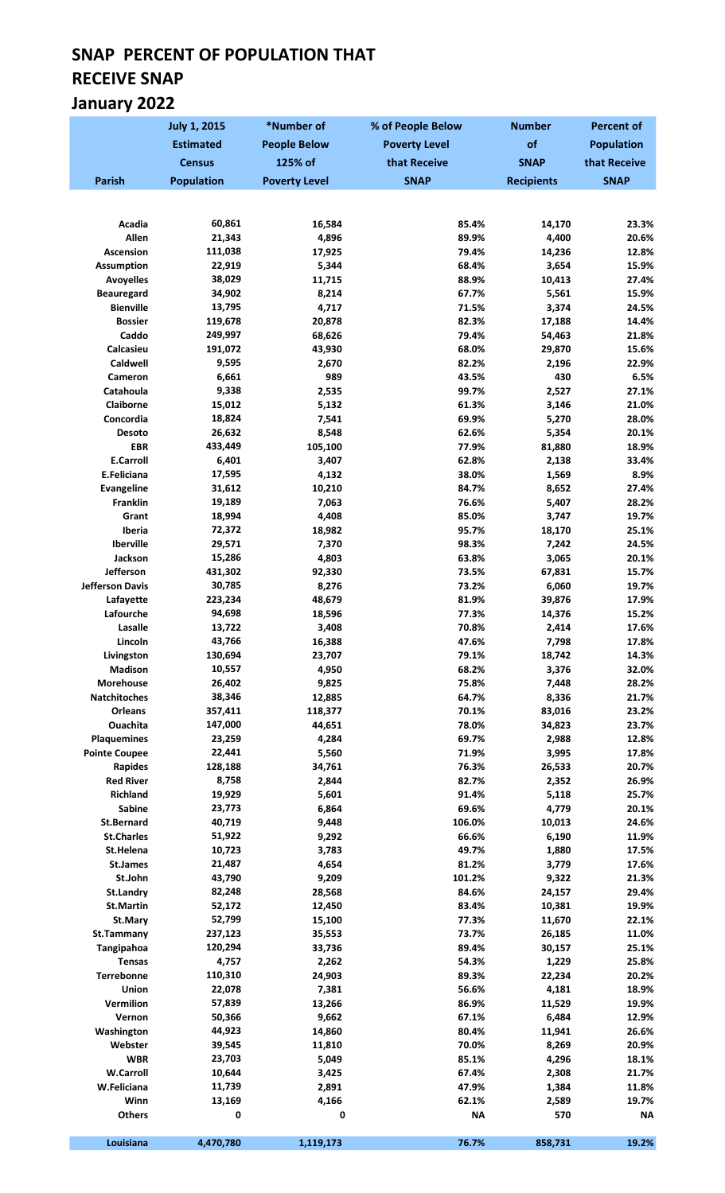# SNAP PERCENT OF POPULATION THAT RECEIVE SNAP January 2022

|                                       | <b>July 1, 2015</b> | *Number of           | % of People Below    | <b>Number</b>     | <b>Percent of</b> |
|---------------------------------------|---------------------|----------------------|----------------------|-------------------|-------------------|
|                                       | <b>Estimated</b>    | <b>People Below</b>  | <b>Poverty Level</b> | of                | <b>Population</b> |
|                                       | <b>Census</b>       | 125% of              | that Receive         | <b>SNAP</b>       | that Receive      |
| <b>Parish</b>                         | <b>Population</b>   | <b>Poverty Level</b> | <b>SNAP</b>          | <b>Recipients</b> | <b>SNAP</b>       |
|                                       |                     |                      |                      |                   |                   |
|                                       |                     |                      |                      |                   |                   |
| Acadia<br>Allen                       | 60,861<br>21,343    | 16,584               | 85.4%                | 14,170            | 23.3%             |
| <b>Ascension</b>                      | 111,038             | 4,896<br>17,925      | 89.9%<br>79.4%       | 4,400<br>14,236   | 20.6%<br>12.8%    |
| <b>Assumption</b>                     | 22,919              | 5,344                | 68.4%                | 3,654             | 15.9%             |
| <b>Avoyelles</b>                      | 38,029              | 11,715               | 88.9%                | 10,413            | 27.4%             |
| <b>Beauregard</b>                     | 34,902              | 8,214                | 67.7%                | 5,561             | 15.9%             |
| <b>Bienville</b>                      | 13,795              | 4,717                | 71.5%                | 3,374             | 24.5%             |
| <b>Bossier</b>                        | 119,678             | 20,878               | 82.3%                | 17,188            | 14.4%             |
| Caddo                                 | 249,997             | 68,626               | 79.4%                | 54,463            | 21.8%             |
| Calcasieu                             | 191,072             | 43,930               | 68.0%                | 29,870            | 15.6%             |
| Caldwell                              | 9,595               | 2,670                | 82.2%                | 2,196             | 22.9%             |
| <b>Cameron</b><br>Catahoula           | 6,661<br>9,338      | 989<br>2,535         | 43.5%<br>99.7%       | 430<br>2,527      | 6.5%<br>27.1%     |
| <b>Claiborne</b>                      | 15,012              | 5,132                | 61.3%                | 3,146             | 21.0%             |
| Concordia                             | 18,824              | 7,541                | 69.9%                | 5,270             | 28.0%             |
| Desoto                                | 26,632              | 8,548                | 62.6%                | 5,354             | 20.1%             |
| <b>EBR</b>                            | 433,449             | 105,100              | 77.9%                | 81,880            | 18.9%             |
| <b>E.Carroll</b>                      | 6,401               | 3,407                | 62.8%                | 2,138             | 33.4%             |
| E.Feliciana                           | 17,595              | 4,132                | 38.0%                | 1,569             | 8.9%              |
| <b>Evangeline</b>                     | 31,612              | 10,210               | 84.7%                | 8,652             | 27.4%             |
| Franklin                              | 19,189              | 7,063                | 76.6%                | 5,407             | 28.2%             |
| Grant                                 | 18,994              | 4,408                | 85.0%                | 3,747             | 19.7%             |
| Iberia                                | 72,372              | 18,982               | 95.7%                | 18,170            | 25.1%             |
| Iberville<br>Jackson                  | 29,571<br>15,286    | 7,370<br>4,803       | 98.3%<br>63.8%       | 7,242<br>3,065    | 24.5%<br>20.1%    |
| Jefferson                             | 431,302             | 92,330               | 73.5%                | 67,831            | 15.7%             |
| <b>Jefferson Davis</b>                | 30,785              | 8,276                | 73.2%                | 6,060             | 19.7%             |
| Lafayette                             | 223,234             | 48,679               | 81.9%                | 39,876            | 17.9%             |
| Lafourche                             | 94,698              | 18,596               | 77.3%                | 14,376            | 15.2%             |
| Lasalle                               | 13,722              | 3,408                | 70.8%                | 2,414             | 17.6%             |
| Lincoln                               | 43,766              | 16,388               | 47.6%                | 7,798             | 17.8%             |
| Livingston                            | 130,694             | 23,707               | 79.1%                | 18,742            | 14.3%             |
| <b>Madison</b>                        | 10,557              | 4,950                | 68.2%                | 3,376             | 32.0%             |
| <b>Morehouse</b>                      | 26,402              | 9,825                | 75.8%                | 7,448             | 28.2%             |
| <b>Natchitoches</b><br><b>Orleans</b> | 38,346              | 12,885               | 64.7%                | 8,336             | 21.7%             |
| Ouachita                              | 357,411<br>147,000  | 118,377<br>44,651    | 70.1%<br>78.0%       | 83,016<br>34,823  | 23.2%<br>23.7%    |
| <b>Plaquemines</b>                    | 23,259              | 4,284                | 69.7%                | 2,988             | 12.8%             |
| <b>Pointe Coupee</b>                  | 22,441              | 5,560                | 71.9%                | 3,995             | 17.8%             |
| <b>Rapides</b>                        | 128,188             | 34,761               | 76.3%                | 26,533            | 20.7%             |
| <b>Red River</b>                      | 8,758               | 2,844                | 82.7%                | 2,352             | 26.9%             |
| <b>Richland</b>                       | 19,929              | 5,601                | 91.4%                | 5,118             | 25.7%             |
| Sabine                                | 23,773              | 6,864                | 69.6%                | 4,779             | 20.1%             |
| <b>St.Bernard</b>                     | 40,719              | 9,448                | 106.0%               | 10,013            | 24.6%             |
| <b>St.Charles</b>                     | 51,922              | 9,292                | 66.6%                | 6,190             | 11.9%             |
| St.Helena                             | 10,723              | 3,783                | 49.7%                | 1,880             | 17.5%             |
| <b>St.James</b><br>St.John            | 21,487<br>43,790    | 4,654<br>9,209       | 81.2%<br>101.2%      | 3,779<br>9,322    | 17.6%<br>21.3%    |
| St.Landry                             | 82,248              | 28,568               | 84.6%                | 24,157            | 29.4%             |
| <b>St.Martin</b>                      | 52,172              | 12,450               | 83.4%                | 10,381            | 19.9%             |
| St.Mary                               | 52,799              | 15,100               | 77.3%                | 11,670            | 22.1%             |
| St.Tammany                            | 237,123             | 35,553               | 73.7%                | 26,185            | 11.0%             |
| Tangipahoa                            | 120,294             | 33,736               | 89.4%                | 30,157            | 25.1%             |
| <b>Tensas</b>                         | 4,757               | 2,262                | 54.3%                | 1,229             | 25.8%             |
| Terrebonne                            | 110,310             | 24,903               | 89.3%                | 22,234            | 20.2%             |
| Union                                 | 22,078              | 7,381                | 56.6%                | 4,181             | 18.9%             |
| Vermilion                             | 57,839              | 13,266               | 86.9%                | 11,529            | 19.9%             |
| Vernon                                | 50,366              | 9,662                | 67.1%                | 6,484             | 12.9%             |
| Washington<br>Webster                 | 44,923<br>39,545    | 14,860<br>11,810     | 80.4%<br>70.0%       | 11,941<br>8,269   | 26.6%<br>20.9%    |
| <b>WBR</b>                            | 23,703              | 5,049                | 85.1%                | 4,296             | 18.1%             |
| <b>W.Carroll</b>                      | 10,644              | 3,425                | 67.4%                | 2,308             | 21.7%             |
| W.Feliciana                           | 11,739              | 2,891                | 47.9%                | 1,384             | 11.8%             |
| Winn                                  | 13,169              | 4,166                | 62.1%                | 2,589             | 19.7%             |
| <b>Others</b>                         | 0                   | 0                    | <b>NA</b>            | 570               | <b>NA</b>         |
|                                       |                     |                      |                      |                   |                   |
| Louisiana                             | 4,470,780           | 1,119,173            | 76.7%                | 858,731           | 19.2%             |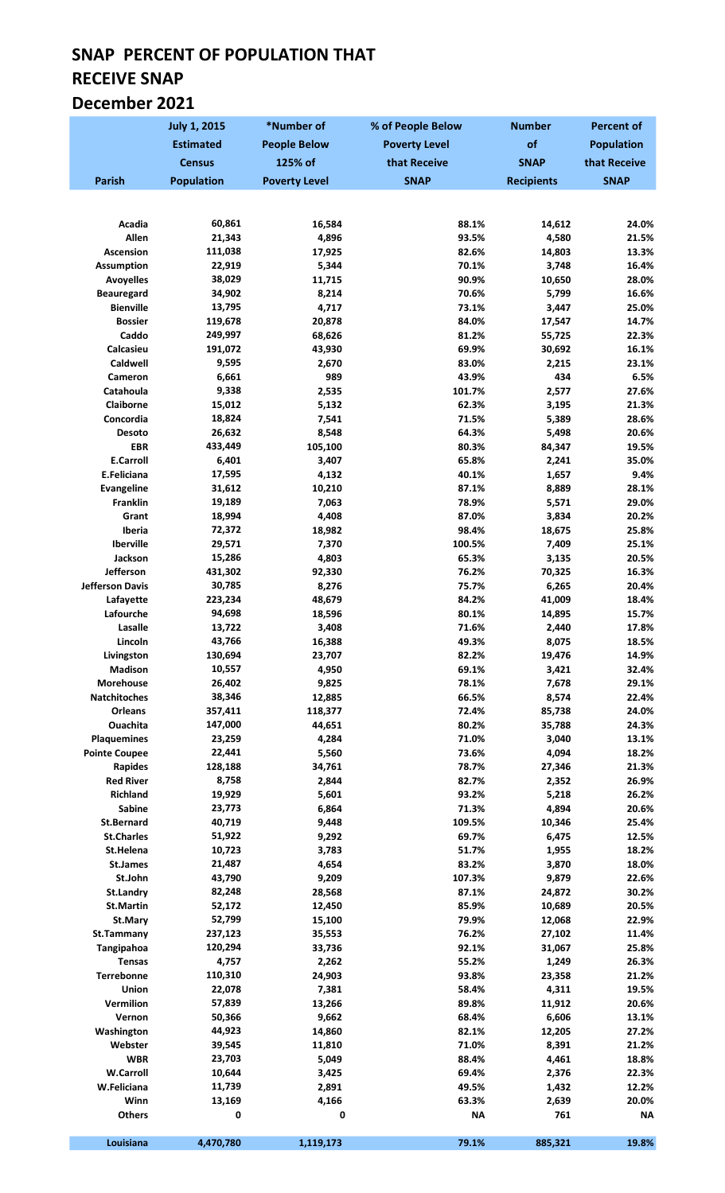## SNAP PERCENT OF POPULATION THAT RECEIVE SNAP December 2021

|                                     | <b>July 1, 2015</b> | *Number of           | % of People Below    | <b>Number</b>     | <b>Percent of</b> |
|-------------------------------------|---------------------|----------------------|----------------------|-------------------|-------------------|
|                                     | <b>Estimated</b>    | <b>People Below</b>  | <b>Poverty Level</b> | of                | <b>Population</b> |
|                                     | <b>Census</b>       | 125% of              | that Receive         | <b>SNAP</b>       | that Receive      |
| <b>Parish</b>                       | <b>Population</b>   | <b>Poverty Level</b> | <b>SNAP</b>          | <b>Recipients</b> | <b>SNAP</b>       |
|                                     |                     |                      |                      |                   |                   |
|                                     |                     |                      |                      |                   |                   |
| Acadia<br>Allen                     | 60,861<br>21,343    | 16,584<br>4,896      | 88.1%<br>93.5%       | 14,612<br>4,580   | 24.0%<br>21.5%    |
| <b>Ascension</b>                    | 111,038             | 17,925               | 82.6%                | 14,803            | 13.3%             |
| <b>Assumption</b>                   | 22,919              | 5,344                | 70.1%                | 3,748             | 16.4%             |
| <b>Avoyelles</b>                    | 38,029              | 11,715               | 90.9%                | 10,650            | 28.0%             |
| <b>Beauregard</b>                   | 34,902              | 8,214                | 70.6%                | 5,799             | 16.6%             |
| <b>Bienville</b>                    | 13,795              | 4,717                | 73.1%                | 3,447             | 25.0%             |
| <b>Bossier</b>                      | 119,678             | 20,878               | 84.0%                | 17,547            | 14.7%             |
| Caddo                               | 249,997             | 68,626               | 81.2%                | 55,725            | 22.3%             |
| Calcasieu<br>Caldwell               | 191,072<br>9,595    | 43,930               | 69.9%                | 30,692            | 16.1%             |
| Cameron                             | 6,661               | 2,670<br>989         | 83.0%<br>43.9%       | 2,215<br>434      | 23.1%<br>6.5%     |
| Catahoula                           | 9,338               | 2,535                | 101.7%               | 2,577             | 27.6%             |
| Claiborne                           | 15,012              | 5,132                | 62.3%                | 3,195             | 21.3%             |
| Concordia                           | 18,824              | 7,541                | 71.5%                | 5,389             | 28.6%             |
| Desoto                              | 26,632              | 8,548                | 64.3%                | 5,498             | 20.6%             |
| <b>EBR</b>                          | 433,449             | 105,100              | 80.3%                | 84,347            | 19.5%             |
| <b>E.Carroll</b>                    | 6,401               | 3,407                | 65.8%                | 2,241             | 35.0%             |
| E.Feliciana                         | 17,595              | 4,132                | 40.1%                | 1,657             | 9.4%              |
| Evangeline                          | 31,612              | 10,210               | 87.1%                | 8,889             | 28.1%             |
| <b>Franklin</b>                     | 19,189              | 7,063                | 78.9%                | 5,571             | 29.0%             |
| Grant<br>Iberia                     | 18,994<br>72,372    | 4,408<br>18,982      | 87.0%<br>98.4%       | 3,834<br>18,675   | 20.2%<br>25.8%    |
| Iberville                           | 29,571              | 7,370                | 100.5%               | 7,409             | 25.1%             |
| Jackson                             | 15,286              | 4,803                | 65.3%                | 3,135             | 20.5%             |
| Jefferson                           | 431,302             | 92,330               | 76.2%                | 70,325            | 16.3%             |
| <b>Jefferson Davis</b>              | 30,785              | 8,276                | 75.7%                | 6,265             | 20.4%             |
| Lafayette                           | 223,234             | 48,679               | 84.2%                | 41,009            | 18.4%             |
| Lafourche                           | 94,698              | 18,596               | 80.1%                | 14,895            | 15.7%             |
| Lasalle                             | 13,722              | 3,408                | 71.6%                | 2,440             | 17.8%             |
| Lincoln<br>Livingston               | 43,766<br>130,694   | 16,388<br>23,707     | 49.3%<br>82.2%       | 8,075<br>19,476   | 18.5%<br>14.9%    |
| Madison                             | 10,557              | 4,950                | 69.1%                | 3,421             | 32.4%             |
| <b>Morehouse</b>                    | 26,402              | 9,825                | 78.1%                | 7,678             | 29.1%             |
| Natchitoches                        | 38,346              | 12,885               | 66.5%                | 8,574             | 22.4%             |
| Orleans                             | 357,411             | 118,377              | 72.4%                | 85,738            | 24.0%             |
| Ouachita                            | 147,000             | 44,651               | 80.2%                | 35,788            | 24.3%             |
| <b>Plaquemines</b>                  | 23,259              | 4,284                | 71.0%                | 3,040             | 13.1%             |
| <b>Pointe Coupee</b>                | 22,441              | 5,560                | 73.6%                | 4,094             | 18.2%             |
| Rapides                             | 128,188             | 34,761               | 78.7%                | 27,346            | 21.3%             |
| <b>Red River</b><br><b>Richland</b> | 8,758<br>19,929     | 2,844<br>5,601       | 82.7%<br>93.2%       | 2,352<br>5,218    | 26.9%<br>26.2%    |
| <b>Sabine</b>                       | 23,773              | 6,864                | 71.3%                | 4,894             | 20.6%             |
| <b>St.Bernard</b>                   | 40,719              | 9,448                | 109.5%               | 10,346            | 25.4%             |
| <b>St.Charles</b>                   | 51,922              | 9,292                | 69.7%                | 6,475             | 12.5%             |
| St.Helena                           | 10,723              | 3,783                | 51.7%                | 1,955             | 18.2%             |
| St.James                            | 21,487              | 4,654                | 83.2%                | 3,870             | 18.0%             |
| St.John                             | 43,790              | 9,209                | 107.3%               | 9,879             | 22.6%             |
| <b>St.Landry</b>                    | 82,248              | 28,568               | 87.1%                | 24,872            | 30.2%             |
| <b>St.Martin</b>                    | 52,172              | 12,450               | 85.9%                | 10,689            | 20.5%             |
| St.Mary<br>St.Tammany               | 52,799<br>237,123   | 15,100<br>35,553     | 79.9%<br>76.2%       | 12,068<br>27,102  | 22.9%<br>11.4%    |
| Tangipahoa                          | 120,294             | 33,736               | 92.1%                | 31,067            | 25.8%             |
| Tensas                              | 4,757               | 2,262                | 55.2%                | 1,249             | 26.3%             |
| Terrebonne                          | 110,310             | 24,903               | 93.8%                | 23,358            | 21.2%             |
| <b>Union</b>                        | 22,078              | 7,381                | 58.4%                | 4,311             | 19.5%             |
| Vermilion                           | 57,839              | 13,266               | 89.8%                | 11,912            | 20.6%             |
| Vernon                              | 50,366              | 9,662                | 68.4%                | 6,606             | 13.1%             |
| Washington                          | 44,923              | 14,860               | 82.1%                | 12,205            | 27.2%             |
| Webster                             | 39,545              | 11,810               | 71.0%                | 8,391             | 21.2%             |
| <b>WBR</b><br><b>W.Carroll</b>      | 23,703<br>10,644    | 5,049<br>3,425       | 88.4%<br>69.4%       | 4,461<br>2,376    | 18.8%<br>22.3%    |
| W.Feliciana                         | 11,739              | 2,891                | 49.5%                | 1,432             | 12.2%             |
| Winn                                | 13,169              | 4,166                | 63.3%                | 2,639             | 20.0%             |
| <b>Others</b>                       | 0                   | 0                    | <b>NA</b>            | 761               | <b>NA</b>         |
|                                     |                     |                      |                      |                   |                   |
| Louisiana                           | 4,470,780           | 1,119,173            | 79.1%                | 885,321           | 19.8%             |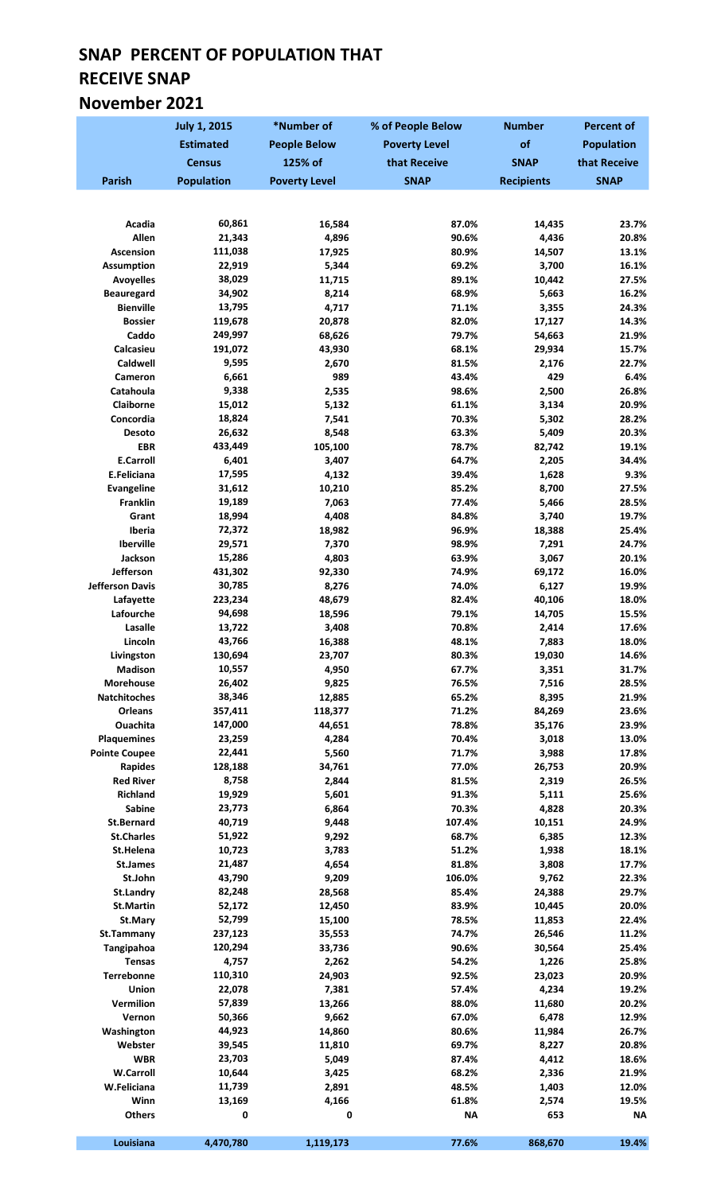## SNAP PERCENT OF POPULATION THAT RECEIVE SNAP November 2021

|                                         | <b>July 1, 2015</b> | *Number of           | % of People Below    | <b>Number</b>     | <b>Percent of</b> |
|-----------------------------------------|---------------------|----------------------|----------------------|-------------------|-------------------|
|                                         | <b>Estimated</b>    | <b>People Below</b>  | <b>Poverty Level</b> | of                | <b>Population</b> |
|                                         | <b>Census</b>       | 125% of              | that Receive         | <b>SNAP</b>       | that Receive      |
| <b>Parish</b>                           | <b>Population</b>   | <b>Poverty Level</b> | <b>SNAP</b>          | <b>Recipients</b> | <b>SNAP</b>       |
|                                         |                     |                      |                      |                   |                   |
|                                         |                     |                      |                      |                   |                   |
| Acadia<br>Allen                         | 60,861<br>21,343    | 16,584<br>4,896      | 87.0%<br>90.6%       | 14,435<br>4,436   | 23.7%<br>20.8%    |
| <b>Ascension</b>                        | 111,038             | 17,925               | 80.9%                | 14,507            | 13.1%             |
| <b>Assumption</b>                       | 22,919              | 5,344                | 69.2%                | 3,700             | 16.1%             |
| <b>Avoyelles</b>                        | 38,029              | 11,715               | 89.1%                | 10,442            | 27.5%             |
| <b>Beauregard</b>                       | 34,902              | 8,214                | 68.9%                | 5,663             | 16.2%             |
| <b>Bienville</b>                        | 13,795              | 4,717                | 71.1%                | 3,355             | 24.3%             |
| <b>Bossier</b>                          | 119,678             | 20,878               | 82.0%                | 17,127            | 14.3%             |
| Caddo                                   | 249,997             | 68,626               | 79.7%                | 54,663            | 21.9%             |
| Calcasieu<br>Caldwell                   | 191,072<br>9,595    | 43,930<br>2,670      | 68.1%<br>81.5%       | 29,934<br>2,176   | 15.7%<br>22.7%    |
| Cameron                                 | 6,661               | 989                  | 43.4%                | 429               | 6.4%              |
| Catahoula                               | 9,338               | 2,535                | 98.6%                | 2,500             | 26.8%             |
| Claiborne                               | 15,012              | 5,132                | 61.1%                | 3,134             | 20.9%             |
| Concordia                               | 18,824              | 7,541                | 70.3%                | 5,302             | 28.2%             |
| Desoto                                  | 26,632              | 8,548                | 63.3%                | 5,409             | 20.3%             |
| <b>EBR</b>                              | 433,449             | 105,100              | 78.7%                | 82,742            | 19.1%             |
| <b>E.Carroll</b><br>E.Feliciana         | 6,401<br>17,595     | 3,407<br>4,132       | 64.7%<br>39.4%       | 2,205<br>1,628    | 34.4%<br>9.3%     |
| <b>Evangeline</b>                       | 31,612              | 10,210               | 85.2%                | 8,700             | 27.5%             |
| Franklin                                | 19,189              | 7,063                | 77.4%                | 5,466             | 28.5%             |
| Grant                                   | 18,994              | 4,408                | 84.8%                | 3,740             | 19.7%             |
| Iberia                                  | 72,372              | 18,982               | 96.9%                | 18,388            | 25.4%             |
| Iberville                               | 29,571              | 7,370                | 98.9%                | 7,291             | 24.7%             |
| Jackson                                 | 15,286              | 4,803                | 63.9%                | 3,067             | 20.1%             |
| Jefferson<br><b>Jefferson Davis</b>     | 431,302<br>30,785   | 92,330<br>8,276      | 74.9%<br>74.0%       | 69,172<br>6,127   | 16.0%<br>19.9%    |
| Lafayette                               | 223,234             | 48,679               | 82.4%                | 40,106            | 18.0%             |
| Lafourche                               | 94,698              | 18,596               | 79.1%                | 14,705            | 15.5%             |
| Lasalle                                 | 13,722              | 3,408                | 70.8%                | 2,414             | 17.6%             |
| Lincoln                                 | 43,766              | 16,388               | 48.1%                | 7,883             | 18.0%             |
| Livingston                              | 130,694             | 23,707               | 80.3%                | 19,030            | 14.6%             |
| <b>Madison</b>                          | 10,557              | 4,950                | 67.7%                | 3,351             | 31.7%             |
| <b>Morehouse</b><br><b>Natchitoches</b> | 26,402<br>38,346    | 9,825                | 76.5%                | 7,516             | 28.5%             |
| <b>Orleans</b>                          | 357,411             | 12,885<br>118,377    | 65.2%<br>71.2%       | 8,395<br>84,269   | 21.9%<br>23.6%    |
| <b>Ouachita</b>                         | 147,000             | 44,651               | 78.8%                | 35,176            | 23.9%             |
| <b>Plaquemines</b>                      | 23,259              | 4,284                | 70.4%                | 3,018             | 13.0%             |
| <b>Pointe Coupee</b>                    | 22,441              | 5,560                | 71.7%                | 3,988             | 17.8%             |
| <b>Rapides</b>                          | 128,188             | 34,761               | 77.0%                | 26,753            | 20.9%             |
| <b>Red River</b>                        | 8,758               | 2,844                | 81.5%                | 2,319             | 26.5%             |
| <b>Richland</b>                         | 19,929              | 5,601                | 91.3%                | 5,111             | 25.6%             |
| Sabine<br><b>St.Bernard</b>             | 23,773<br>40,719    | 6,864<br>9,448       | 70.3%<br>107.4%      | 4,828<br>10,151   | 20.3%<br>24.9%    |
| <b>St.Charles</b>                       | 51,922              | 9,292                | 68.7%                | 6,385             | 12.3%             |
| St.Helena                               | 10,723              | 3,783                | 51.2%                | 1,938             | 18.1%             |
| St.James                                | 21,487              | 4,654                | 81.8%                | 3,808             | 17.7%             |
| St.John                                 | 43,790              | 9,209                | 106.0%               | 9,762             | 22.3%             |
| St.Landry                               | 82,248              | 28,568               | 85.4%                | 24,388            | 29.7%             |
| <b>St.Martin</b>                        | 52,172              | 12,450               | 83.9%                | 10,445            | 20.0%             |
| St.Mary<br>St.Tammany                   | 52,799<br>237,123   | 15,100<br>35,553     | 78.5%<br>74.7%       | 11,853<br>26,546  | 22.4%<br>11.2%    |
| Tangipahoa                              | 120,294             | 33,736               | 90.6%                | 30,564            | 25.4%             |
| <b>Tensas</b>                           | 4,757               | 2,262                | 54.2%                | 1,226             | 25.8%             |
| Terrebonne                              | 110,310             | 24,903               | 92.5%                | 23,023            | 20.9%             |
| Union                                   | 22,078              | 7,381                | 57.4%                | 4,234             | 19.2%             |
| Vermilion                               | 57,839              | 13,266               | 88.0%                | 11,680            | 20.2%             |
| Vernon                                  | 50,366              | 9,662                | 67.0%                | 6,478             | 12.9%             |
| Washington<br>Webster                   | 44,923<br>39,545    | 14,860               | 80.6%<br>69.7%       | 11,984<br>8,227   | 26.7%<br>20.8%    |
| <b>WBR</b>                              | 23,703              | 11,810<br>5,049      | 87.4%                | 4,412             | 18.6%             |
| <b>W.Carroll</b>                        | 10,644              | 3,425                | 68.2%                | 2,336             | 21.9%             |
| W.Feliciana                             | 11,739              | 2,891                | 48.5%                | 1,403             | 12.0%             |
| Winn                                    | 13,169              | 4,166                | 61.8%                | 2,574             | 19.5%             |
| <b>Others</b>                           | 0                   | 0                    | ΝA                   | 653               | <b>NA</b>         |
|                                         |                     |                      |                      |                   |                   |
| Louisiana                               | 4,470,780           | 1,119,173            | 77.6%                | 868,670           | 19.4%             |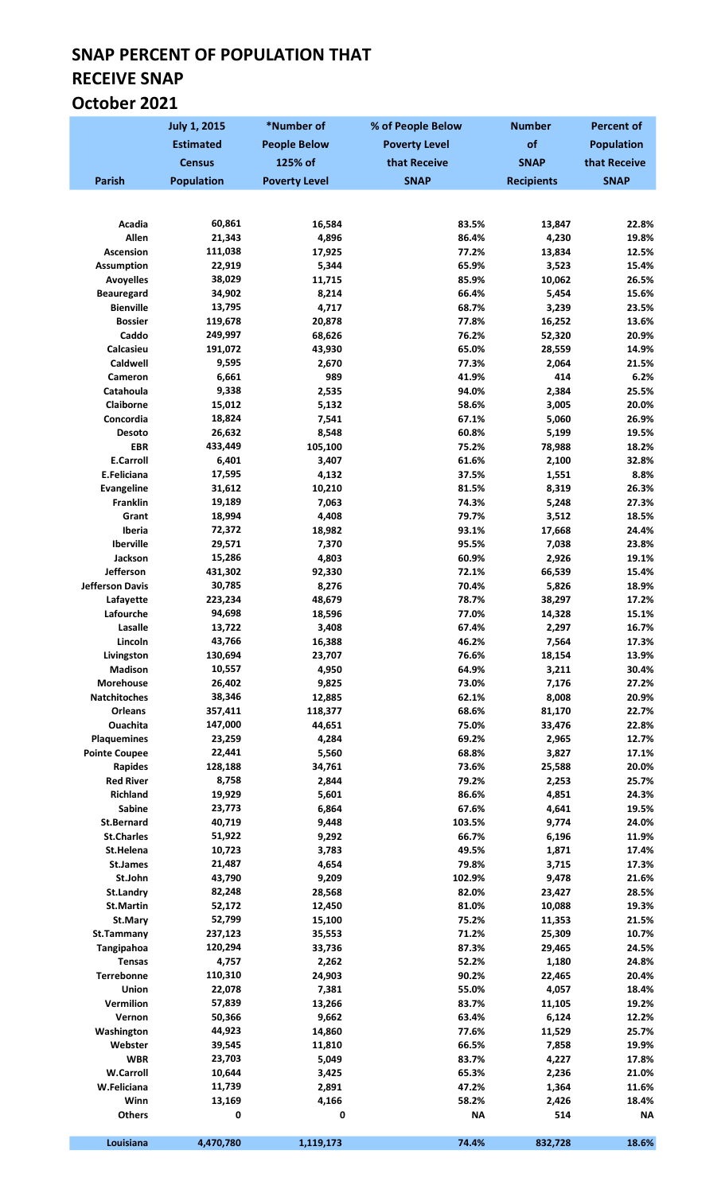## SNAP PERCENT OF POPULATION THAT RECEIVE SNAP October 2021

|                             | <b>July 1, 2015</b> | *Number of           | % of People Below    | <b>Number</b>     | <b>Percent of</b>  |
|-----------------------------|---------------------|----------------------|----------------------|-------------------|--------------------|
|                             | <b>Estimated</b>    | <b>People Below</b>  | <b>Poverty Level</b> | of                | <b>Population</b>  |
|                             | <b>Census</b>       | 125% of              | that Receive         | <b>SNAP</b>       | that Receive       |
| <b>Parish</b>               | <b>Population</b>   | <b>Poverty Level</b> | <b>SNAP</b>          | <b>Recipients</b> | <b>SNAP</b>        |
|                             |                     |                      |                      |                   |                    |
|                             |                     |                      |                      |                   |                    |
| Acadia<br>Allen             | 60,861<br>21,343    | 16,584               | 83.5%                | 13,847            | 22.8%              |
| Ascension                   | 111,038             | 4,896<br>17,925      | 86.4%<br>77.2%       | 4,230<br>13,834   | 19.8%<br>12.5%     |
| <b>Assumption</b>           | 22,919              | 5,344                | 65.9%                | 3,523             | 15.4%              |
| <b>Avoyelles</b>            | 38,029              | 11,715               | 85.9%                | 10,062            | 26.5%              |
| <b>Beauregard</b>           | 34,902              | 8,214                | 66.4%                | 5,454             | 15.6%              |
| <b>Bienville</b>            | 13,795              | 4,717                | 68.7%                | 3,239             | 23.5%              |
| <b>Bossier</b>              | 119,678             | 20,878               | 77.8%                | 16,252            | 13.6%              |
| Caddo                       | 249,997             | 68,626               | 76.2%                | 52,320            | 20.9%              |
| Calcasieu                   | 191,072             | 43,930               | 65.0%                | 28,559            | 14.9%              |
| Caldwell                    | 9,595<br>6,661      | 2,670                | 77.3%                | 2,064             | 21.5%<br>6.2%      |
| Cameron<br>Catahoula        | 9,338               | 989<br>2,535         | 41.9%<br>94.0%       | 414<br>2,384      | 25.5%              |
| Claiborne                   | 15,012              | 5,132                | 58.6%                | 3,005             | 20.0%              |
| Concordia                   | 18,824              | 7,541                | 67.1%                | 5,060             | 26.9%              |
| Desoto                      | 26,632              | 8,548                | 60.8%                | 5,199             | 19.5%              |
| <b>EBR</b>                  | 433,449             | 105,100              | 75.2%                | 78,988            | 18.2%              |
| <b>E.Carroll</b>            | 6,401               | 3,407                | 61.6%                | 2,100             | 32.8%              |
| E.Feliciana                 | 17,595              | 4,132                | 37.5%                | 1,551             | 8.8%               |
| <b>Evangeline</b>           | 31,612              | 10,210               | 81.5%                | 8,319             | 26.3%              |
| Franklin                    | 19,189              | 7,063                | 74.3%                | 5,248             | 27.3%              |
| Grant                       | 18,994              | 4,408                | 79.7%                | 3,512             | 18.5%              |
| Iberia<br>Iberville         | 72,372<br>29,571    | 18,982<br>7,370      | 93.1%<br>95.5%       | 17,668<br>7,038   | 24.4%<br>23.8%     |
| Jackson                     | 15,286              | 4,803                | 60.9%                | 2,926             | 19.1%              |
| Jefferson                   | 431,302             | 92,330               | 72.1%                | 66,539            | 15.4%              |
| <b>Jefferson Davis</b>      | 30,785              | 8,276                | 70.4%                | 5,826             | 18.9%              |
| Lafayette                   | 223,234             | 48,679               | 78.7%                | 38,297            | 17.2%              |
| Lafourche                   | 94,698              | 18,596               | 77.0%                | 14,328            | 15.1%              |
| Lasalle                     | 13,722              | 3,408                | 67.4%                | 2,297             | 16.7%              |
| Lincoln                     | 43,766              | 16,388               | 46.2%                | 7,564             | 17.3%              |
| Livingston                  | 130,694             | 23,707               | 76.6%                | 18,154            | 13.9%              |
| <b>Madison</b><br>Morehouse | 10,557<br>26,402    | 4,950<br>9,825       | 64.9%<br>73.0%       | 3,211<br>7,176    | 30.4%<br>27.2%     |
| Natchitoches                | 38,346              | 12,885               | 62.1%                | 8,008             | 20.9%              |
| Orleans                     | 357,411             | 118,377              | 68.6%                | 81,170            | 22.7%              |
| Ouachita                    | 147,000             | 44,651               | 75.0%                | 33,476            | 22.8%              |
| <b>Plaquemines</b>          | 23,259              | 4,284                | 69.2%                | 2,965             | 12.7%              |
| <b>Pointe Coupee</b>        | 22,441              | 5,560                | 68.8%                | 3,827             | 17.1%              |
| Rapides                     | 128,188             | 34,761               | 73.6%                | 25,588            | 20.0%              |
| <b>Red River</b>            | 8,758               | 2,844                | 79.2%                | 2,253             | 25.7%              |
| <b>Richland</b>             | 19,929              | 5,601                | 86.6%                | 4,851             | 24.3%              |
| Sabine<br><b>St.Bernard</b> | 23,773<br>40,719    | 6,864<br>9,448       | 67.6%<br>103.5%      | 4,641<br>9,774    | 19.5%<br>24.0%     |
| <b>St.Charles</b>           | 51,922              | 9,292                | 66.7%                | 6,196             | 11.9%              |
| St.Helena                   | 10,723              | 3,783                | 49.5%                | 1,871             | 17.4%              |
| <b>St.James</b>             | 21,487              | 4,654                | 79.8%                | 3,715             | 17.3%              |
| St.John                     | 43,790              | 9,209                | 102.9%               | 9,478             | 21.6%              |
| <b>St.Landry</b>            | 82,248              | 28,568               | 82.0%                | 23,427            | 28.5%              |
| <b>St.Martin</b>            | 52,172              | 12,450               | 81.0%                | 10,088            | 19.3%              |
| St.Mary                     | 52,799              | 15,100               | 75.2%                | 11,353            | 21.5%              |
| St.Tammany                  | 237,123             | 35,553               | 71.2%                | 25,309            | 10.7%              |
| Tangipahoa<br><b>Tensas</b> | 120,294<br>4,757    | 33,736<br>2,262      | 87.3%<br>52.2%       | 29,465<br>1,180   | 24.5%<br>24.8%     |
| Terrebonne                  | 110,310             | 24,903               | 90.2%                | 22,465            | 20.4%              |
| Union                       | 22,078              | 7,381                | 55.0%                | 4,057             | 18.4%              |
| Vermilion                   | 57,839              | 13,266               | 83.7%                | 11,105            | 19.2%              |
| Vernon                      | 50,366              | 9,662                | 63.4%                | 6,124             | 12.2%              |
| Washington                  | 44,923              | 14,860               | 77.6%                | 11,529            | 25.7%              |
| Webster                     | 39,545              | 11,810               | 66.5%                | 7,858             | 19.9%              |
| <b>WBR</b>                  | 23,703              | 5,049                | 83.7%                | 4,227             | 17.8%              |
| <b>W.Carroll</b>            | 10,644              | 3,425                | 65.3%                | 2,236             | 21.0%              |
| W.Feliciana                 | 11,739              | 2,891                | 47.2%                | 1,364             | 11.6%              |
| Winn<br><b>Others</b>       | 13,169<br>0         | 4,166<br>0           | 58.2%<br><b>NA</b>   | 2,426<br>514      | 18.4%<br><b>NA</b> |
|                             |                     |                      |                      |                   |                    |
| Louisiana                   | 4,470,780           | 1,119,173            | 74.4%                | 832,728           | 18.6%              |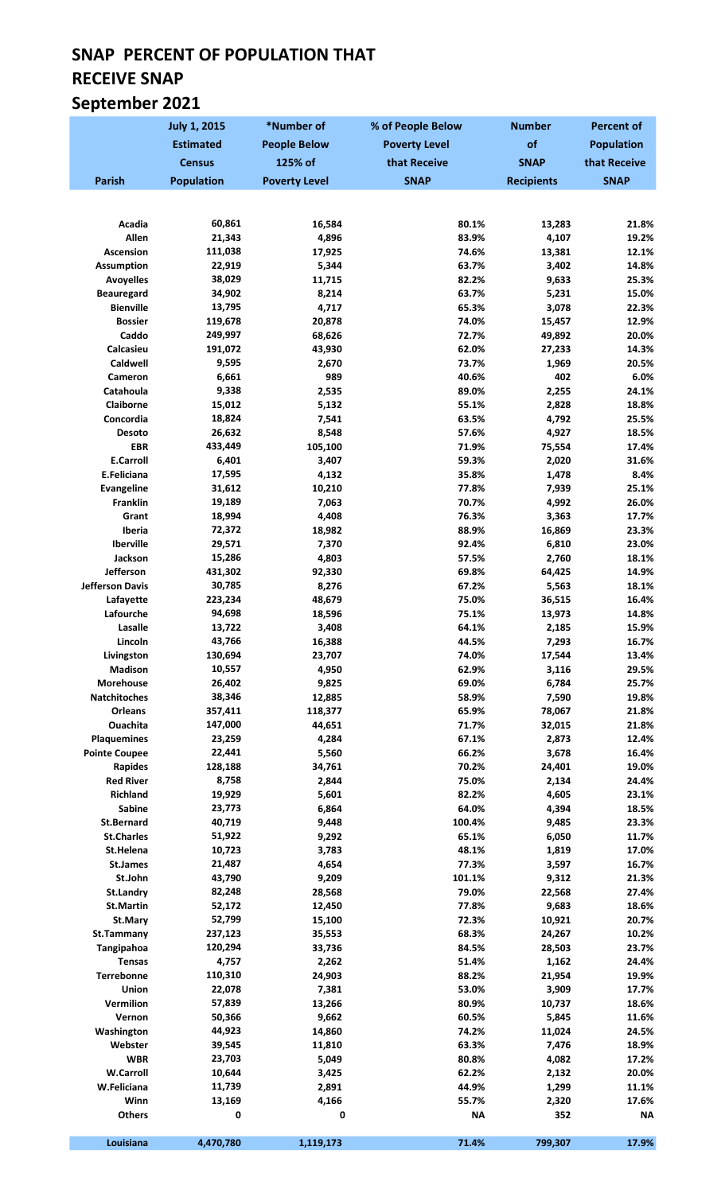# SNAP PERCENT OF POPULATION THAT RECEIVE SNAP September 2021

|                                       | <b>July 1, 2015</b> | *Number of           | % of People Below    | <b>Number</b>     | <b>Percent of</b> |
|---------------------------------------|---------------------|----------------------|----------------------|-------------------|-------------------|
|                                       | <b>Estimated</b>    | <b>People Below</b>  | <b>Poverty Level</b> | of                | <b>Population</b> |
|                                       | <b>Census</b>       | 125% of              | that Receive         | <b>SNAP</b>       | that Receive      |
| <b>Parish</b>                         | <b>Population</b>   | <b>Poverty Level</b> | <b>SNAP</b>          | <b>Recipients</b> | <b>SNAP</b>       |
|                                       |                     |                      |                      |                   |                   |
|                                       |                     |                      |                      |                   |                   |
| Acadia<br>Allen                       | 60,861<br>21,343    | 16,584               | 80.1%                | 13,283            | 21.8%             |
| <b>Ascension</b>                      | 111,038             | 4,896<br>17,925      | 83.9%<br>74.6%       | 4,107<br>13,381   | 19.2%<br>12.1%    |
| <b>Assumption</b>                     | 22,919              | 5,344                | 63.7%                | 3,402             | 14.8%             |
| <b>Avoyelles</b>                      | 38,029              | 11,715               | 82.2%                | 9,633             | 25.3%             |
| <b>Beauregard</b>                     | 34,902              | 8,214                | 63.7%                | 5,231             | 15.0%             |
| <b>Bienville</b>                      | 13,795              | 4,717                | 65.3%                | 3,078             | 22.3%             |
| <b>Bossier</b>                        | 119,678             | 20,878               | 74.0%                | 15,457            | 12.9%             |
| Caddo                                 | 249,997             | 68,626               | 72.7%                | 49,892            | 20.0%             |
| Calcasieu<br>Caldwell                 | 191,072<br>9,595    | 43,930<br>2,670      | 62.0%<br>73.7%       | 27,233<br>1,969   | 14.3%<br>20.5%    |
| Cameron                               | 6,661               | 989                  | 40.6%                | 402               | 6.0%              |
| Catahoula                             | 9,338               | 2,535                | 89.0%                | 2,255             | 24.1%             |
| Claiborne                             | 15,012              | 5,132                | 55.1%                | 2,828             | 18.8%             |
| Concordia                             | 18,824              | 7,541                | 63.5%                | 4,792             | 25.5%             |
| <b>Desoto</b>                         | 26,632              | 8,548                | 57.6%                | 4,927             | 18.5%             |
| <b>EBR</b>                            | 433,449             | 105,100              | 71.9%                | 75,554            | 17.4%             |
| <b>E.Carroll</b>                      | 6,401               | 3,407                | 59.3%                | 2,020             | 31.6%             |
| E.Feliciana<br><b>Evangeline</b>      | 17,595<br>31,612    | 4,132<br>10,210      | 35.8%<br>77.8%       | 1,478<br>7,939    | 8.4%<br>25.1%     |
| <b>Franklin</b>                       | 19,189              | 7,063                | 70.7%                | 4,992             | 26.0%             |
| Grant                                 | 18,994              | 4,408                | 76.3%                | 3,363             | 17.7%             |
| Iberia                                | 72,372              | 18,982               | 88.9%                | 16,869            | 23.3%             |
| Iberville                             | 29,571              | 7,370                | 92.4%                | 6,810             | 23.0%             |
| Jackson                               | 15,286              | 4,803                | 57.5%                | 2,760             | 18.1%             |
| Jefferson                             | 431,302             | 92,330               | 69.8%                | 64,425            | 14.9%             |
| <b>Jefferson Davis</b>                | 30,785              | 8,276                | 67.2%                | 5,563             | 18.1%             |
| Lafayette<br>Lafourche                | 223,234<br>94,698   | 48,679<br>18,596     | 75.0%<br>75.1%       | 36,515<br>13,973  | 16.4%<br>14.8%    |
| Lasalle                               | 13,722              | 3,408                | 64.1%                | 2,185             | 15.9%             |
| Lincoln                               | 43,766              | 16,388               | 44.5%                | 7,293             | 16.7%             |
| Livingston                            | 130,694             | 23,707               | 74.0%                | 17,544            | 13.4%             |
| <b>Madison</b>                        | 10,557              | 4,950                | 62.9%                | 3,116             | 29.5%             |
| Morehouse                             | 26,402              | 9,825                | 69.0%                | 6,784             | 25.7%             |
| <b>Natchitoches</b>                   | 38,346              | 12,885               | 58.9%                | 7,590             | 19.8%             |
| Orleans                               | 357,411             | 118,377              | 65.9%                | 78,067            | 21.8%             |
| <b>Ouachita</b><br><b>Plaquemines</b> | 147,000<br>23,259   | 44,651<br>4,284      | 71.7%<br>67.1%       | 32,015<br>2,873   | 21.8%<br>12.4%    |
| <b>Pointe Coupee</b>                  | 22,441              | 5,560                | 66.2%                | 3,678             | 16.4%             |
| <b>Rapides</b>                        | 128,188             | 34,761               | 70.2%                | 24,401            | 19.0%             |
| <b>Red River</b>                      | 8,758               | 2,844                | 75.0%                | 2,134             | 24.4%             |
| Richland                              | 19,929              | 5,601                | 82.2%                | 4,605             | 23.1%             |
| Sabine                                | 23,773              | 6,864                | 64.0%                | 4,394             | 18.5%             |
| <b>St.Bernard</b>                     | 40,719              | 9,448                | 100.4%               | 9,485             | 23.3%             |
| <b>St.Charles</b><br>St.Helena        | 51,922<br>10,723    | 9,292                | 65.1%                | 6,050             | 11.7%             |
| <b>St.James</b>                       | 21,487              | 3,783<br>4,654       | 48.1%<br>77.3%       | 1,819<br>3,597    | 17.0%<br>16.7%    |
| St.John                               | 43,790              | 9,209                | 101.1%               | 9,312             | 21.3%             |
| St.Landry                             | 82,248              | 28,568               | 79.0%                | 22,568            | 27.4%             |
| <b>St.Martin</b>                      | 52,172              | 12,450               | 77.8%                | 9,683             | 18.6%             |
| St.Mary                               | 52,799              | 15,100               | 72.3%                | 10,921            | 20.7%             |
| St.Tammany                            | 237,123             | 35,553               | 68.3%                | 24,267            | 10.2%             |
| Tangipahoa                            | 120,294             | 33,736               | 84.5%                | 28,503            | 23.7%             |
| <b>Tensas</b><br>Terrebonne           | 4,757<br>110,310    | 2,262<br>24,903      | 51.4%<br>88.2%       | 1,162<br>21,954   | 24.4%<br>19.9%    |
| Union                                 | 22,078              | 7,381                | 53.0%                | 3,909             | 17.7%             |
| Vermilion                             | 57,839              | 13,266               | 80.9%                | 10,737            | 18.6%             |
| Vernon                                | 50,366              | 9,662                | 60.5%                | 5,845             | 11.6%             |
| Washington                            | 44,923              | 14,860               | 74.2%                | 11,024            | 24.5%             |
| Webster                               | 39,545              | 11,810               | 63.3%                | 7,476             | 18.9%             |
| <b>WBR</b>                            | 23,703              | 5,049                | 80.8%                | 4,082             | 17.2%             |
| <b>W.Carroll</b>                      | 10,644              | 3,425                | 62.2%                | 2,132             | 20.0%             |
| W.Feliciana<br>Winn                   | 11,739<br>13,169    | 2,891<br>4,166       | 44.9%<br>55.7%       | 1,299<br>2,320    | 11.1%<br>17.6%    |
| <b>Others</b>                         | 0                   | 0                    | <b>NA</b>            | 352               | <b>NA</b>         |
|                                       |                     |                      |                      |                   |                   |
| Louisiana                             | 4,470,780           | 1,119,173            | 71.4%                | 799,307           | 17.9%             |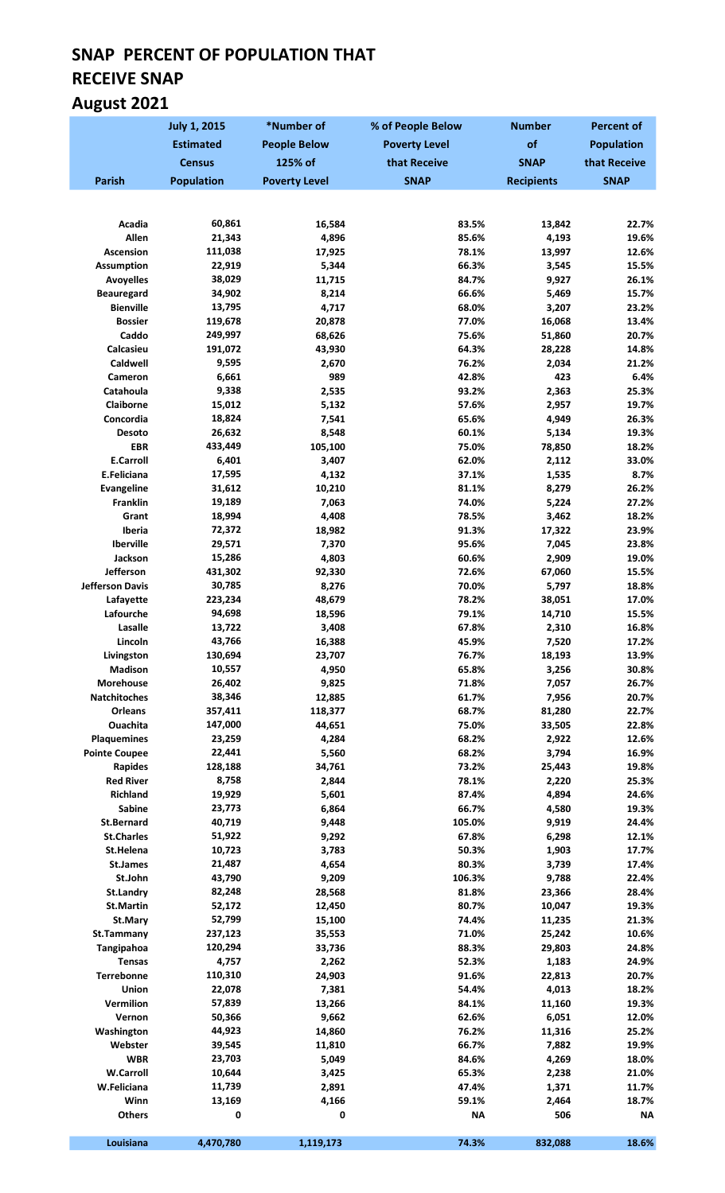# SNAP PERCENT OF POPULATION THAT RECEIVE SNAP August 2021

|                                        | <b>July 1, 2015</b> | *Number of           | % of People Below    | <b>Number</b>     | <b>Percent of</b> |
|----------------------------------------|---------------------|----------------------|----------------------|-------------------|-------------------|
|                                        | <b>Estimated</b>    | <b>People Below</b>  | <b>Poverty Level</b> | of                | <b>Population</b> |
|                                        | <b>Census</b>       | 125% of              | that Receive         | <b>SNAP</b>       | that Receive      |
| <b>Parish</b>                          | <b>Population</b>   | <b>Poverty Level</b> | <b>SNAP</b>          | <b>Recipients</b> | <b>SNAP</b>       |
|                                        |                     |                      |                      |                   |                   |
|                                        |                     |                      |                      |                   |                   |
| Acadia<br>Allen                        | 60,861<br>21,343    | 16,584<br>4,896      | 83.5%<br>85.6%       | 13,842<br>4,193   | 22.7%<br>19.6%    |
| Ascension                              | 111,038             | 17,925               | 78.1%                | 13,997            | 12.6%             |
| <b>Assumption</b>                      | 22,919              | 5,344                | 66.3%                | 3,545             | 15.5%             |
| <b>Avoyelles</b>                       | 38,029              | 11,715               | 84.7%                | 9,927             | 26.1%             |
| <b>Beauregard</b>                      | 34,902              | 8,214                | 66.6%                | 5,469             | 15.7%             |
| <b>Bienville</b>                       | 13,795              | 4,717                | 68.0%                | 3,207             | 23.2%             |
| <b>Bossier</b>                         | 119,678             | 20,878               | 77.0%                | 16,068            | 13.4%             |
| Caddo                                  | 249,997             | 68,626               | 75.6%                | 51,860            | 20.7%             |
| Calcasieu<br>Caldwell                  | 191,072<br>9,595    | 43,930               | 64.3%<br>76.2%       | 28,228<br>2,034   | 14.8%<br>21.2%    |
| Cameron                                | 6,661               | 2,670<br>989         | 42.8%                | 423               | 6.4%              |
| Catahoula                              | 9,338               | 2,535                | 93.2%                | 2,363             | 25.3%             |
| Claiborne                              | 15,012              | 5,132                | 57.6%                | 2,957             | 19.7%             |
| Concordia                              | 18,824              | 7,541                | 65.6%                | 4,949             | 26.3%             |
| Desoto                                 | 26,632              | 8,548                | 60.1%                | 5,134             | 19.3%             |
| <b>EBR</b>                             | 433,449             | 105,100              | 75.0%                | 78,850            | 18.2%             |
| <b>E.Carroll</b>                       | 6,401               | 3,407                | 62.0%                | 2,112             | 33.0%             |
| E.Feliciana                            | 17,595              | 4,132                | 37.1%                | 1,535             | 8.7%              |
| <b>Evangeline</b>                      | 31,612              | 10,210               | 81.1%                | 8,279             | 26.2%             |
| <b>Franklin</b>                        | 19,189              | 7,063                | 74.0%                | 5,224             | 27.2%             |
| Grant                                  | 18,994              | 4,408                | 78.5%                | 3,462             | 18.2%             |
| Iberia<br>Iberville                    | 72,372<br>29,571    | 18,982<br>7,370      | 91.3%<br>95.6%       | 17,322<br>7,045   | 23.9%<br>23.8%    |
| Jackson                                | 15,286              | 4,803                | 60.6%                | 2,909             | 19.0%             |
| Jefferson                              | 431,302             | 92,330               | 72.6%                | 67,060            | 15.5%             |
| <b>Jefferson Davis</b>                 | 30,785              | 8,276                | 70.0%                | 5,797             | 18.8%             |
| Lafayette                              | 223,234             | 48,679               | 78.2%                | 38,051            | 17.0%             |
| Lafourche                              | 94,698              | 18,596               | 79.1%                | 14,710            | 15.5%             |
| Lasalle                                | 13,722              | 3,408                | 67.8%                | 2,310             | 16.8%             |
| Lincoln                                | 43,766              | 16,388               | 45.9%                | 7,520             | 17.2%             |
| Livingston                             | 130,694<br>10,557   | 23,707               | 76.7%                | 18,193            | 13.9%             |
| Madison<br><b>Morehouse</b>            | 26,402              | 4,950<br>9,825       | 65.8%<br>71.8%       | 3,256<br>7,057    | 30.8%<br>26.7%    |
| <b>Natchitoches</b>                    | 38,346              | 12,885               | 61.7%                | 7,956             | 20.7%             |
| <b>Orleans</b>                         | 357,411             | 118,377              | 68.7%                | 81,280            | 22.7%             |
| Ouachita                               | 147,000             | 44,651               | 75.0%                | 33,505            | 22.8%             |
| <b>Plaquemines</b>                     | 23,259              | 4,284                | 68.2%                | 2,922             | 12.6%             |
| <b>Pointe Coupee</b>                   | 22,441              | 5,560                | 68.2%                | 3,794             | 16.9%             |
| Rapides                                | 128,188             | 34,761               | 73.2%                | 25,443            | 19.8%             |
| <b>Red River</b>                       | 8,758               | 2,844                | 78.1%                | 2,220             | 25.3%             |
| <b>Richland</b>                        | 19,929              | 5,601                | 87.4%                | 4,894             | 24.6%             |
| <b>Sabine</b>                          | 23,773              | 6,864                | 66.7%                | 4,580             | 19.3%             |
| <b>St.Bernard</b><br><b>St.Charles</b> | 40,719<br>51,922    | 9,448<br>9,292       | 105.0%<br>67.8%      | 9,919<br>6,298    | 24.4%<br>12.1%    |
| St.Helena                              | 10,723              | 3,783                | 50.3%                | 1,903             | 17.7%             |
| St.James                               | 21,487              | 4,654                | 80.3%                | 3,739             | 17.4%             |
| St.John                                | 43,790              | 9,209                | 106.3%               | 9,788             | 22.4%             |
| <b>St.Landry</b>                       | 82,248              | 28,568               | 81.8%                | 23,366            | 28.4%             |
| <b>St.Martin</b>                       | 52,172              | 12,450               | 80.7%                | 10,047            | 19.3%             |
| St.Mary                                | 52,799              | 15,100               | 74.4%                | 11,235            | 21.3%             |
| St.Tammany                             | 237,123             | 35,553               | 71.0%                | 25,242            | 10.6%             |
| Tangipahoa                             | 120,294             | 33,736               | 88.3%                | 29,803            | 24.8%             |
| <b>Tensas</b>                          | 4,757               | 2,262                | 52.3%                | 1,183             | 24.9%             |
| Terrebonne<br>Union                    | 110,310<br>22,078   | 24,903<br>7,381      | 91.6%<br>54.4%       | 22,813<br>4,013   | 20.7%<br>18.2%    |
| Vermilion                              | 57,839              | 13,266               | 84.1%                | 11,160            | 19.3%             |
| Vernon                                 | 50,366              | 9,662                | 62.6%                | 6,051             | 12.0%             |
| Washington                             | 44,923              | 14,860               | 76.2%                | 11,316            | 25.2%             |
| Webster                                | 39,545              | 11,810               | 66.7%                | 7,882             | 19.9%             |
| <b>WBR</b>                             | 23,703              | 5,049                | 84.6%                | 4,269             | 18.0%             |
| <b>W.Carroll</b>                       | 10,644              | 3,425                | 65.3%                | 2,238             | 21.0%             |
| W.Feliciana                            | 11,739              | 2,891                | 47.4%                | 1,371             | 11.7%             |
| Winn                                   | 13,169              | 4,166                | 59.1%                | 2,464             | 18.7%             |
| <b>Others</b>                          | 0                   | 0                    | <b>NA</b>            | 506               | <b>NA</b>         |
| Louisiana                              | 4,470,780           | 1,119,173            | 74.3%                | 832,088           | 18.6%             |